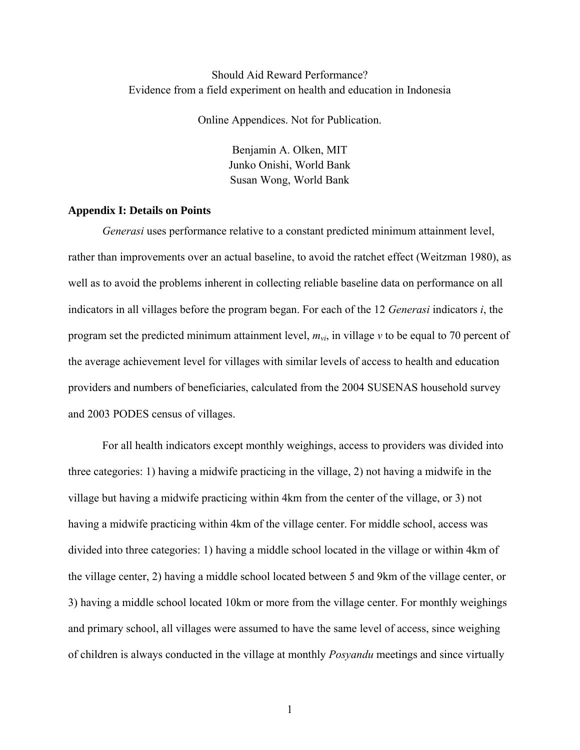## Should Aid Reward Performance? Evidence from a field experiment on health and education in Indonesia

Online Appendices. Not for Publication.

Benjamin A. Olken, MIT Junko Onishi, World Bank Susan Wong, World Bank

### **Appendix I: Details on Points**

*Generasi* uses performance relative to a constant predicted minimum attainment level, rather than improvements over an actual baseline, to avoid the ratchet effect (Weitzman 1980), as well as to avoid the problems inherent in collecting reliable baseline data on performance on all indicators in all villages before the program began. For each of the 12 *Generasi* indicators *i*, the program set the predicted minimum attainment level, *mvi*, in village *v* to be equal to 70 percent of the average achievement level for villages with similar levels of access to health and education providers and numbers of beneficiaries, calculated from the 2004 SUSENAS household survey and 2003 PODES census of villages.

For all health indicators except monthly weighings, access to providers was divided into three categories: 1) having a midwife practicing in the village, 2) not having a midwife in the village but having a midwife practicing within 4km from the center of the village, or 3) not having a midwife practicing within 4km of the village center. For middle school, access was divided into three categories: 1) having a middle school located in the village or within 4km of the village center, 2) having a middle school located between 5 and 9km of the village center, or 3) having a middle school located 10km or more from the village center. For monthly weighings and primary school, all villages were assumed to have the same level of access, since weighing of children is always conducted in the village at monthly *Posyandu* meetings and since virtually

1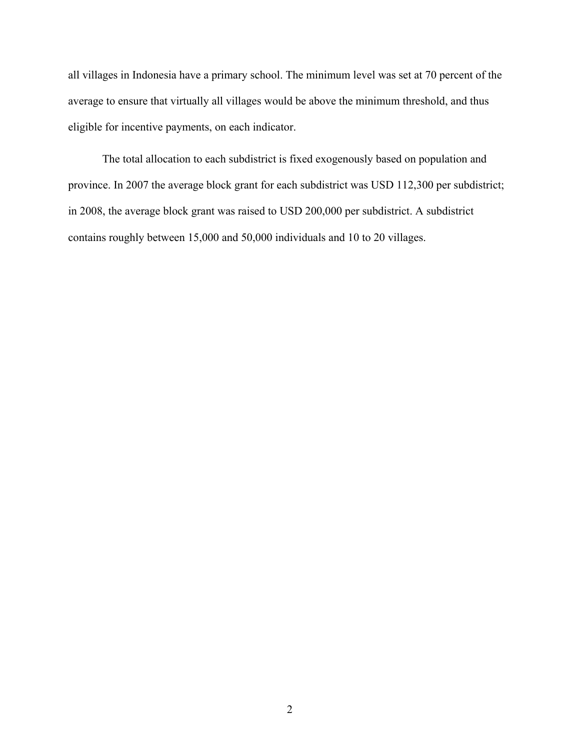all villages in Indonesia have a primary school. The minimum level was set at 70 percent of the average to ensure that virtually all villages would be above the minimum threshold, and thus eligible for incentive payments, on each indicator.

The total allocation to each subdistrict is fixed exogenously based on population and province. In 2007 the average block grant for each subdistrict was USD 112,300 per subdistrict; in 2008, the average block grant was raised to USD 200,000 per subdistrict. A subdistrict contains roughly between 15,000 and 50,000 individuals and 10 to 20 villages.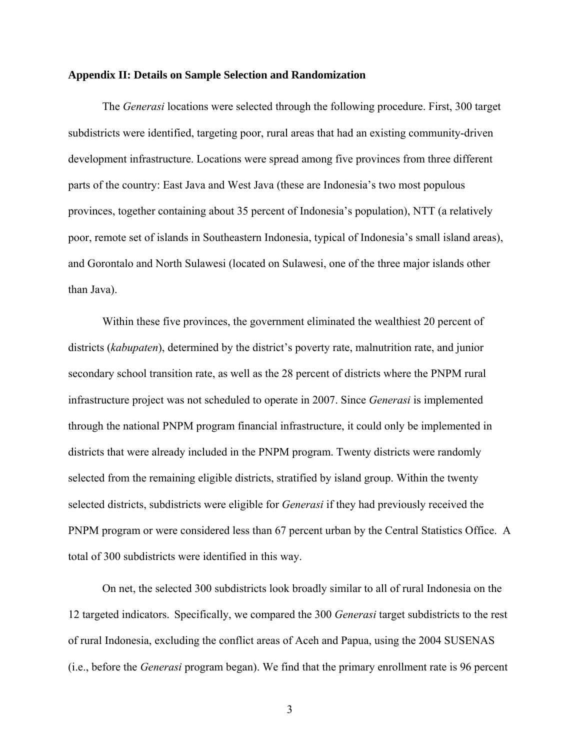### **Appendix II: Details on Sample Selection and Randomization**

The *Generasi* locations were selected through the following procedure. First, 300 target subdistricts were identified, targeting poor, rural areas that had an existing community-driven development infrastructure. Locations were spread among five provinces from three different parts of the country: East Java and West Java (these are Indonesia's two most populous provinces, together containing about 35 percent of Indonesia's population), NTT (a relatively poor, remote set of islands in Southeastern Indonesia, typical of Indonesia's small island areas), and Gorontalo and North Sulawesi (located on Sulawesi, one of the three major islands other than Java).

Within these five provinces, the government eliminated the wealthiest 20 percent of districts (*kabupaten*), determined by the district's poverty rate, malnutrition rate, and junior secondary school transition rate, as well as the 28 percent of districts where the PNPM rural infrastructure project was not scheduled to operate in 2007. Since *Generasi* is implemented through the national PNPM program financial infrastructure, it could only be implemented in districts that were already included in the PNPM program. Twenty districts were randomly selected from the remaining eligible districts, stratified by island group. Within the twenty selected districts, subdistricts were eligible for *Generasi* if they had previously received the PNPM program or were considered less than 67 percent urban by the Central Statistics Office. A total of 300 subdistricts were identified in this way.

On net, the selected 300 subdistricts look broadly similar to all of rural Indonesia on the 12 targeted indicators. Specifically, we compared the 300 *Generasi* target subdistricts to the rest of rural Indonesia, excluding the conflict areas of Aceh and Papua, using the 2004 SUSENAS (i.e., before the *Generasi* program began). We find that the primary enrollment rate is 96 percent

3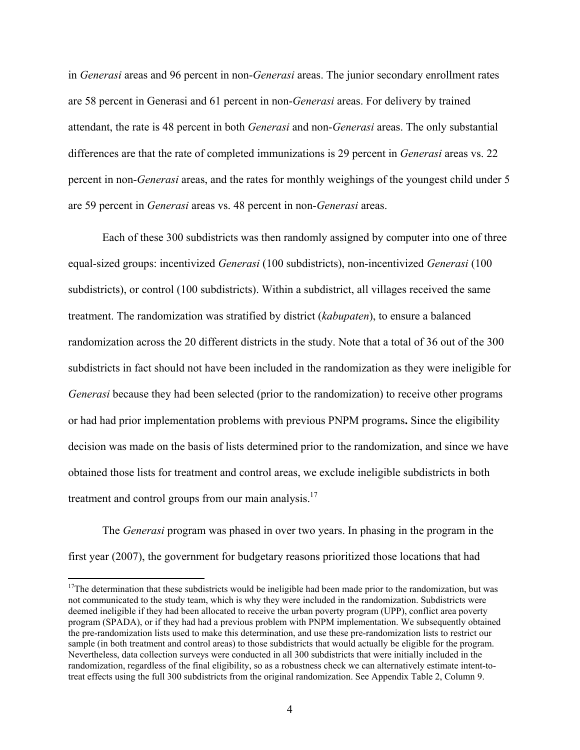in *Generasi* areas and 96 percent in non-*Generasi* areas. The junior secondary enrollment rates are 58 percent in Generasi and 61 percent in non-*Generasi* areas. For delivery by trained attendant, the rate is 48 percent in both *Generasi* and non-*Generasi* areas. The only substantial differences are that the rate of completed immunizations is 29 percent in *Generasi* areas vs. 22 percent in non-*Generasi* areas, and the rates for monthly weighings of the youngest child under 5 are 59 percent in *Generasi* areas vs. 48 percent in non-*Generasi* areas.

Each of these 300 subdistricts was then randomly assigned by computer into one of three equal-sized groups: incentivized *Generasi* (100 subdistricts), non-incentivized *Generasi* (100 subdistricts), or control (100 subdistricts). Within a subdistrict, all villages received the same treatment. The randomization was stratified by district (*kabupaten*), to ensure a balanced randomization across the 20 different districts in the study. Note that a total of 36 out of the 300 subdistricts in fact should not have been included in the randomization as they were ineligible for *Generasi* because they had been selected (prior to the randomization) to receive other programs or had had prior implementation problems with previous PNPM programs**.** Since the eligibility decision was made on the basis of lists determined prior to the randomization, and since we have obtained those lists for treatment and control areas, we exclude ineligible subdistricts in both treatment and control groups from our main analysis.<sup>17</sup>

The *Generasi* program was phased in over two years. In phasing in the program in the first year (2007), the government for budgetary reasons prioritized those locations that had

 $\overline{a}$ 

 $17$ The determination that these subdistricts would be ineligible had been made prior to the randomization, but was not communicated to the study team, which is why they were included in the randomization. Subdistricts were deemed ineligible if they had been allocated to receive the urban poverty program (UPP), conflict area poverty program (SPADA), or if they had had a previous problem with PNPM implementation. We subsequently obtained the pre-randomization lists used to make this determination, and use these pre-randomization lists to restrict our sample (in both treatment and control areas) to those subdistricts that would actually be eligible for the program. Nevertheless, data collection surveys were conducted in all 300 subdistricts that were initially included in the randomization, regardless of the final eligibility, so as a robustness check we can alternatively estimate intent-totreat effects using the full 300 subdistricts from the original randomization. See Appendix Table 2, Column 9.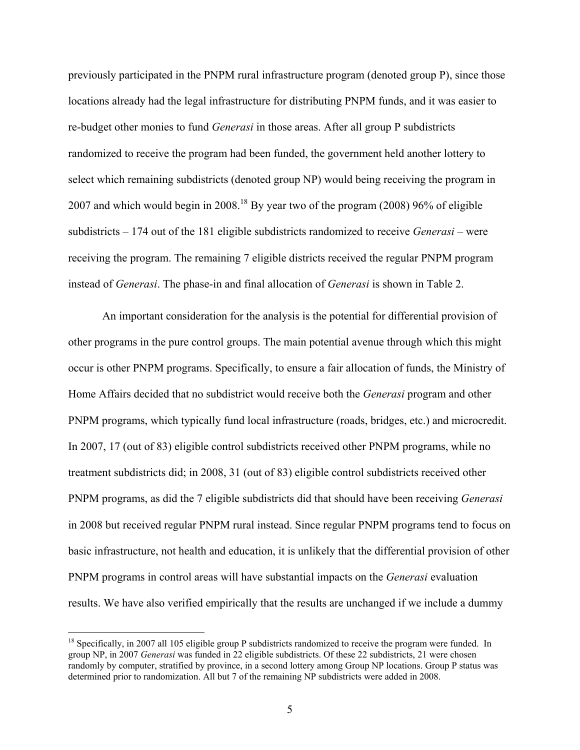previously participated in the PNPM rural infrastructure program (denoted group P), since those locations already had the legal infrastructure for distributing PNPM funds, and it was easier to re-budget other monies to fund *Generasi* in those areas. After all group P subdistricts randomized to receive the program had been funded, the government held another lottery to select which remaining subdistricts (denoted group NP) would being receiving the program in 2007 and which would begin in 2008.18 By year two of the program (2008) 96% of eligible subdistricts – 174 out of the 181 eligible subdistricts randomized to receive *Generasi* – were receiving the program. The remaining 7 eligible districts received the regular PNPM program instead of *Generasi*. The phase-in and final allocation of *Generasi* is shown in Table 2.

An important consideration for the analysis is the potential for differential provision of other programs in the pure control groups. The main potential avenue through which this might occur is other PNPM programs. Specifically, to ensure a fair allocation of funds, the Ministry of Home Affairs decided that no subdistrict would receive both the *Generasi* program and other PNPM programs, which typically fund local infrastructure (roads, bridges, etc.) and microcredit. In 2007, 17 (out of 83) eligible control subdistricts received other PNPM programs, while no treatment subdistricts did; in 2008, 31 (out of 83) eligible control subdistricts received other PNPM programs, as did the 7 eligible subdistricts did that should have been receiving *Generasi* in 2008 but received regular PNPM rural instead. Since regular PNPM programs tend to focus on basic infrastructure, not health and education, it is unlikely that the differential provision of other PNPM programs in control areas will have substantial impacts on the *Generasi* evaluation results. We have also verified empirically that the results are unchanged if we include a dummy

<u>.</u>

<sup>&</sup>lt;sup>18</sup> Specifically, in 2007 all 105 eligible group P subdistricts randomized to receive the program were funded. In group NP, in 2007 *Generasi* was funded in 22 eligible subdistricts. Of these 22 subdistricts, 21 were chosen randomly by computer, stratified by province, in a second lottery among Group NP locations. Group P status was determined prior to randomization. All but 7 of the remaining NP subdistricts were added in 2008.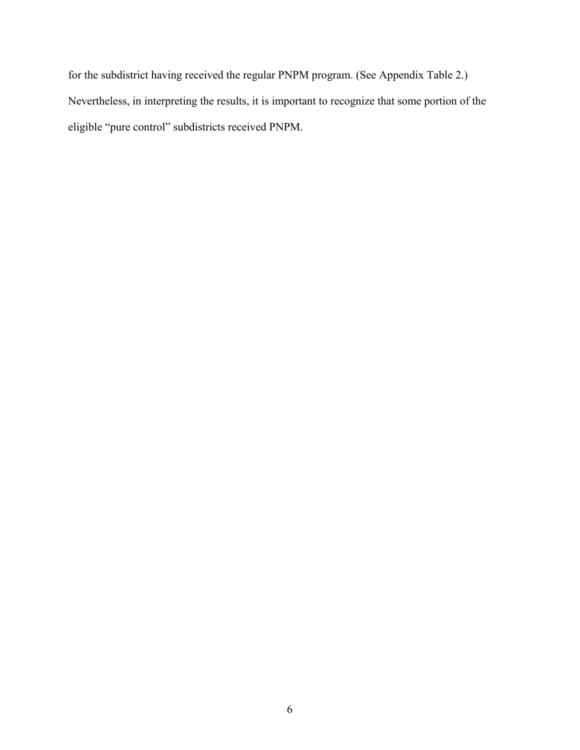for the subdistrict having received the regular PNPM program. (See Appendix Table 2.) Nevertheless, in interpreting the results, it is important to recognize that some portion of the eligible "pure control" subdistricts received PNPM.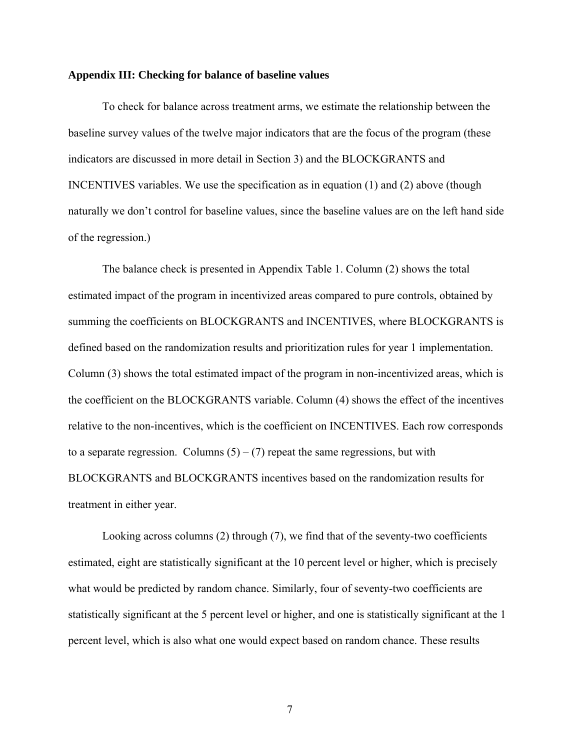### **Appendix III: Checking for balance of baseline values**

To check for balance across treatment arms, we estimate the relationship between the baseline survey values of the twelve major indicators that are the focus of the program (these indicators are discussed in more detail in Section 3) and the BLOCKGRANTS and INCENTIVES variables. We use the specification as in equation (1) and (2) above (though naturally we don't control for baseline values, since the baseline values are on the left hand side of the regression.)

The balance check is presented in Appendix Table 1. Column (2) shows the total estimated impact of the program in incentivized areas compared to pure controls, obtained by summing the coefficients on BLOCKGRANTS and INCENTIVES, where BLOCKGRANTS is defined based on the randomization results and prioritization rules for year 1 implementation. Column (3) shows the total estimated impact of the program in non-incentivized areas, which is the coefficient on the BLOCKGRANTS variable. Column (4) shows the effect of the incentives relative to the non-incentives, which is the coefficient on INCENTIVES. Each row corresponds to a separate regression. Columns  $(5) - (7)$  repeat the same regressions, but with BLOCKGRANTS and BLOCKGRANTS incentives based on the randomization results for treatment in either year.

Looking across columns (2) through (7), we find that of the seventy-two coefficients estimated, eight are statistically significant at the 10 percent level or higher, which is precisely what would be predicted by random chance. Similarly, four of seventy-two coefficients are statistically significant at the 5 percent level or higher, and one is statistically significant at the 1 percent level, which is also what one would expect based on random chance. These results

7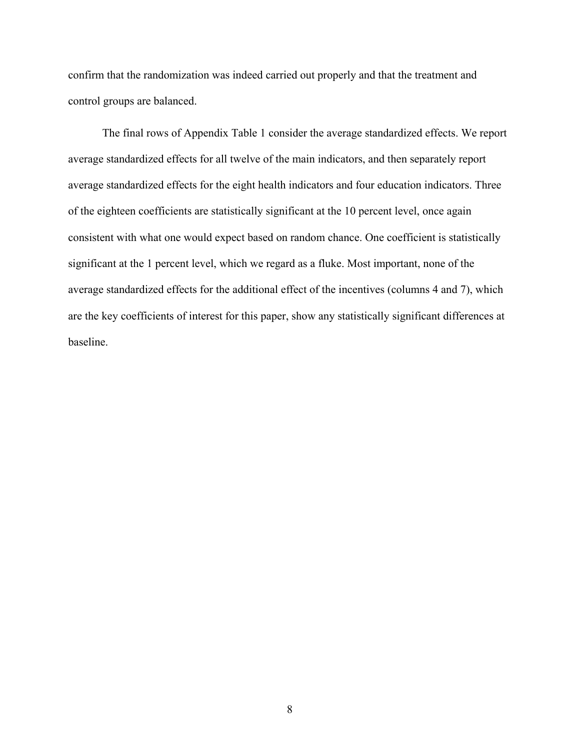confirm that the randomization was indeed carried out properly and that the treatment and control groups are balanced.

The final rows of Appendix Table 1 consider the average standardized effects. We report average standardized effects for all twelve of the main indicators, and then separately report average standardized effects for the eight health indicators and four education indicators. Three of the eighteen coefficients are statistically significant at the 10 percent level, once again consistent with what one would expect based on random chance. One coefficient is statistically significant at the 1 percent level, which we regard as a fluke. Most important, none of the average standardized effects for the additional effect of the incentives (columns 4 and 7), which are the key coefficients of interest for this paper, show any statistically significant differences at baseline.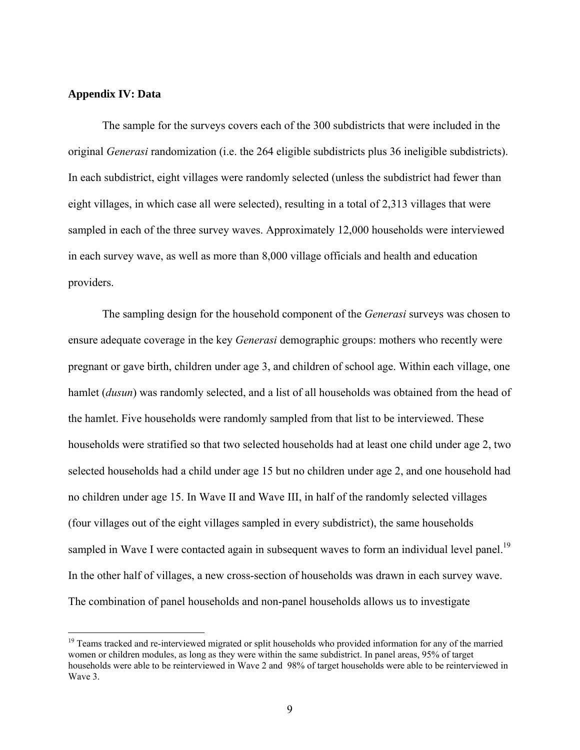### **Appendix IV: Data**

<u>.</u>

The sample for the surveys covers each of the 300 subdistricts that were included in the original *Generasi* randomization (i.e. the 264 eligible subdistricts plus 36 ineligible subdistricts). In each subdistrict, eight villages were randomly selected (unless the subdistrict had fewer than eight villages, in which case all were selected), resulting in a total of 2,313 villages that were sampled in each of the three survey waves. Approximately 12,000 households were interviewed in each survey wave, as well as more than 8,000 village officials and health and education providers.

The sampling design for the household component of the *Generasi* surveys was chosen to ensure adequate coverage in the key *Generasi* demographic groups: mothers who recently were pregnant or gave birth, children under age 3, and children of school age. Within each village, one hamlet (*dusun*) was randomly selected, and a list of all households was obtained from the head of the hamlet. Five households were randomly sampled from that list to be interviewed. These households were stratified so that two selected households had at least one child under age 2, two selected households had a child under age 15 but no children under age 2, and one household had no children under age 15. In Wave II and Wave III, in half of the randomly selected villages (four villages out of the eight villages sampled in every subdistrict), the same households sampled in Wave I were contacted again in subsequent waves to form an individual level panel.<sup>19</sup> In the other half of villages, a new cross-section of households was drawn in each survey wave. The combination of panel households and non-panel households allows us to investigate

<sup>&</sup>lt;sup>19</sup> Teams tracked and re-interviewed migrated or split households who provided information for any of the married women or children modules, as long as they were within the same subdistrict. In panel areas, 95% of target households were able to be reinterviewed in Wave 2 and 98% of target households were able to be reinterviewed in Wave 3.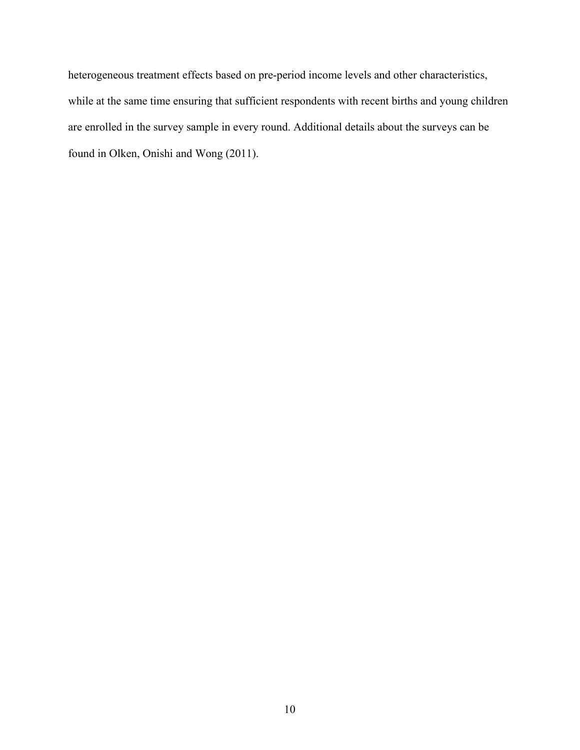heterogeneous treatment effects based on pre-period income levels and other characteristics, while at the same time ensuring that sufficient respondents with recent births and young children are enrolled in the survey sample in every round. Additional details about the surveys can be found in Olken, Onishi and Wong (2011).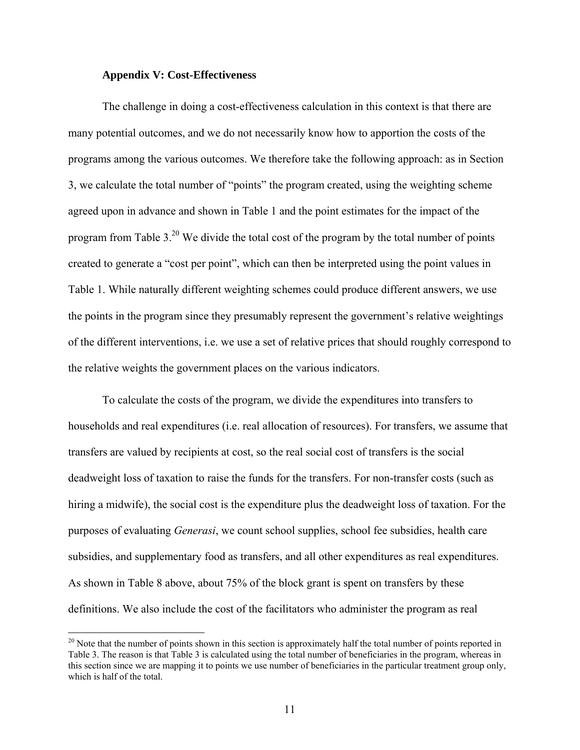### **Appendix V: Cost-Effectiveness**

 $\overline{a}$ 

The challenge in doing a cost-effectiveness calculation in this context is that there are many potential outcomes, and we do not necessarily know how to apportion the costs of the programs among the various outcomes. We therefore take the following approach: as in Section 3, we calculate the total number of "points" the program created, using the weighting scheme agreed upon in advance and shown in Table 1 and the point estimates for the impact of the program from Table 3.20 We divide the total cost of the program by the total number of points created to generate a "cost per point", which can then be interpreted using the point values in Table 1. While naturally different weighting schemes could produce different answers, we use the points in the program since they presumably represent the government's relative weightings of the different interventions, i.e. we use a set of relative prices that should roughly correspond to the relative weights the government places on the various indicators.

To calculate the costs of the program, we divide the expenditures into transfers to households and real expenditures (i.e. real allocation of resources). For transfers, we assume that transfers are valued by recipients at cost, so the real social cost of transfers is the social deadweight loss of taxation to raise the funds for the transfers. For non-transfer costs (such as hiring a midwife), the social cost is the expenditure plus the deadweight loss of taxation. For the purposes of evaluating *Generasi*, we count school supplies, school fee subsidies, health care subsidies, and supplementary food as transfers, and all other expenditures as real expenditures. As shown in Table 8 above, about 75% of the block grant is spent on transfers by these definitions. We also include the cost of the facilitators who administer the program as real

 $20$  Note that the number of points shown in this section is approximately half the total number of points reported in Table 3. The reason is that Table 3 is calculated using the total number of beneficiaries in the program, whereas in this section since we are mapping it to points we use number of beneficiaries in the particular treatment group only, which is half of the total.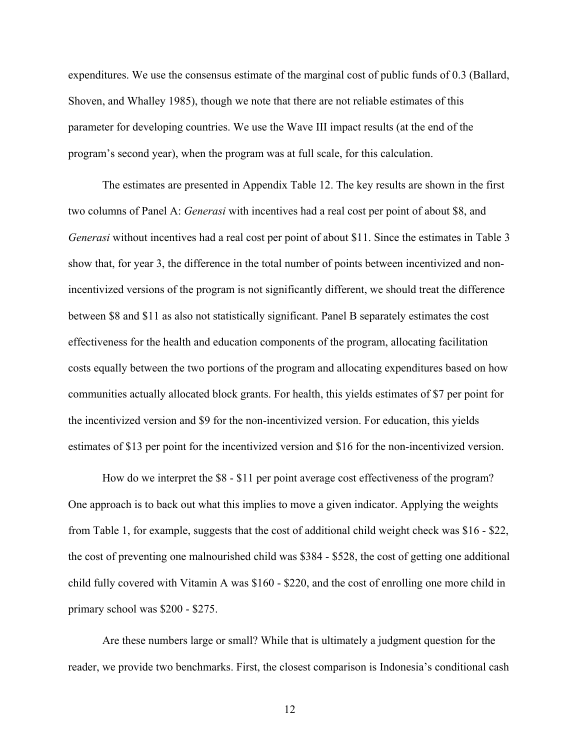expenditures. We use the consensus estimate of the marginal cost of public funds of 0.3 (Ballard, Shoven, and Whalley 1985), though we note that there are not reliable estimates of this parameter for developing countries. We use the Wave III impact results (at the end of the program's second year), when the program was at full scale, for this calculation.

The estimates are presented in Appendix Table 12. The key results are shown in the first two columns of Panel A: *Generasi* with incentives had a real cost per point of about \$8, and *Generasi* without incentives had a real cost per point of about \$11. Since the estimates in Table 3 show that, for year 3, the difference in the total number of points between incentivized and nonincentivized versions of the program is not significantly different, we should treat the difference between \$8 and \$11 as also not statistically significant. Panel B separately estimates the cost effectiveness for the health and education components of the program, allocating facilitation costs equally between the two portions of the program and allocating expenditures based on how communities actually allocated block grants. For health, this yields estimates of \$7 per point for the incentivized version and \$9 for the non-incentivized version. For education, this yields estimates of \$13 per point for the incentivized version and \$16 for the non-incentivized version.

How do we interpret the \$8 - \$11 per point average cost effectiveness of the program? One approach is to back out what this implies to move a given indicator. Applying the weights from Table 1, for example, suggests that the cost of additional child weight check was \$16 - \$22, the cost of preventing one malnourished child was \$384 - \$528, the cost of getting one additional child fully covered with Vitamin A was \$160 - \$220, and the cost of enrolling one more child in primary school was \$200 - \$275.

Are these numbers large or small? While that is ultimately a judgment question for the reader, we provide two benchmarks. First, the closest comparison is Indonesia's conditional cash

12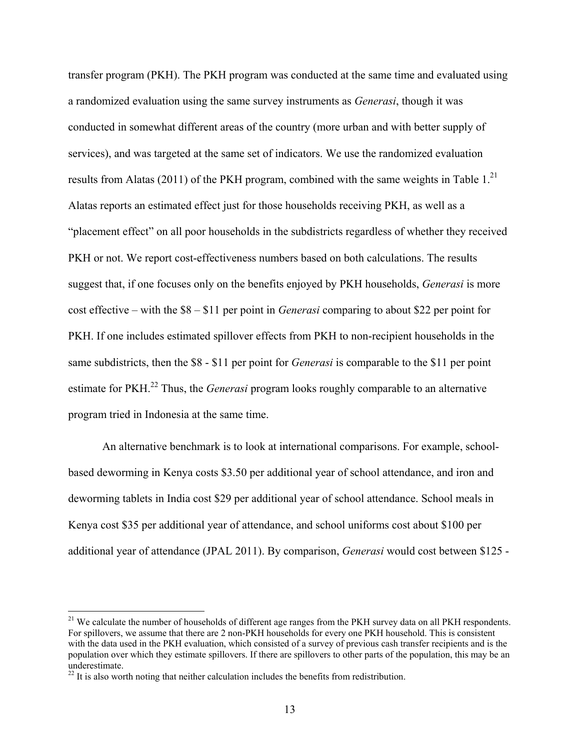transfer program (PKH). The PKH program was conducted at the same time and evaluated using a randomized evaluation using the same survey instruments as *Generasi*, though it was conducted in somewhat different areas of the country (more urban and with better supply of services), and was targeted at the same set of indicators. We use the randomized evaluation results from Alatas (2011) of the PKH program, combined with the same weights in Table  $1<sup>21</sup>$ Alatas reports an estimated effect just for those households receiving PKH, as well as a "placement effect" on all poor households in the subdistricts regardless of whether they received PKH or not. We report cost-effectiveness numbers based on both calculations. The results suggest that, if one focuses only on the benefits enjoyed by PKH households, *Generasi* is more cost effective – with the \$8 – \$11 per point in *Generasi* comparing to about \$22 per point for PKH. If one includes estimated spillover effects from PKH to non-recipient households in the same subdistricts, then the \$8 - \$11 per point for *Generasi* is comparable to the \$11 per point estimate for PKH.22 Thus, the *Generasi* program looks roughly comparable to an alternative program tried in Indonesia at the same time.

An alternative benchmark is to look at international comparisons. For example, schoolbased deworming in Kenya costs \$3.50 per additional year of school attendance, and iron and deworming tablets in India cost \$29 per additional year of school attendance. School meals in Kenya cost \$35 per additional year of attendance, and school uniforms cost about \$100 per additional year of attendance (JPAL 2011). By comparison, *Generasi* would cost between \$125 -

1

<sup>&</sup>lt;sup>21</sup> We calculate the number of households of different age ranges from the PKH survey data on all PKH respondents. For spillovers, we assume that there are 2 non-PKH households for every one PKH household. This is consistent with the data used in the PKH evaluation, which consisted of a survey of previous cash transfer recipients and is the population over which they estimate spillovers. If there are spillovers to other parts of the population, this may be an underestimate.

 $^{22}$  It is also worth noting that neither calculation includes the benefits from redistribution.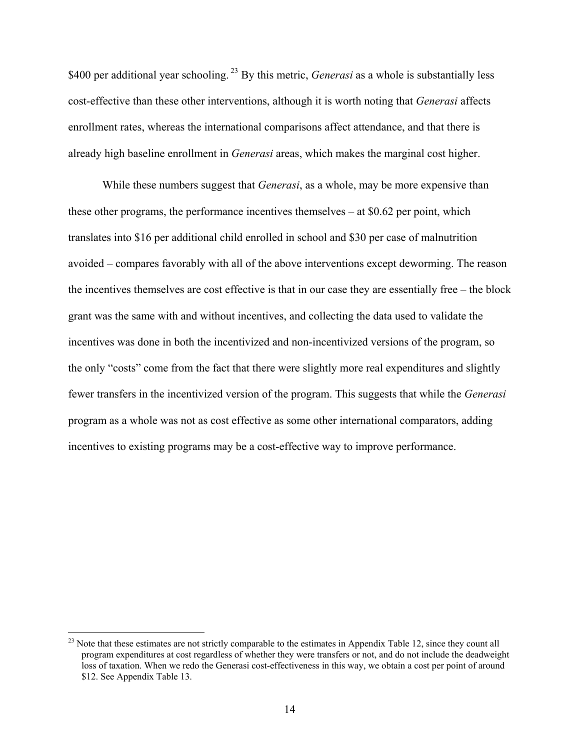\$400 per additional year schooling.<sup>23</sup> By this metric, *Generasi* as a whole is substantially less cost-effective than these other interventions, although it is worth noting that *Generasi* affects enrollment rates, whereas the international comparisons affect attendance, and that there is already high baseline enrollment in *Generasi* areas, which makes the marginal cost higher.

While these numbers suggest that *Generasi*, as a whole, may be more expensive than these other programs, the performance incentives themselves – at \$0.62 per point, which translates into \$16 per additional child enrolled in school and \$30 per case of malnutrition avoided – compares favorably with all of the above interventions except deworming. The reason the incentives themselves are cost effective is that in our case they are essentially free – the block grant was the same with and without incentives, and collecting the data used to validate the incentives was done in both the incentivized and non-incentivized versions of the program, so the only "costs" come from the fact that there were slightly more real expenditures and slightly fewer transfers in the incentivized version of the program. This suggests that while the *Generasi* program as a whole was not as cost effective as some other international comparators, adding incentives to existing programs may be a cost-effective way to improve performance.

 $\overline{a}$ 

 $^{23}$  Note that these estimates are not strictly comparable to the estimates in Appendix Table 12, since they count all program expenditures at cost regardless of whether they were transfers or not, and do not include the deadweight loss of taxation. When we redo the Generasi cost-effectiveness in this way, we obtain a cost per point of around \$12. See Appendix Table 13.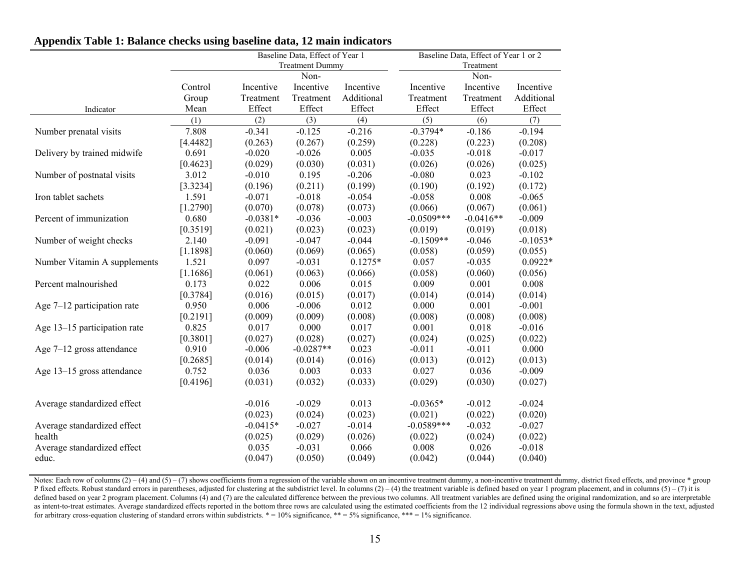|                               |          |            | Baseline Data, Effect of Year 1 | Baseline Data, Effect of Year 1 or 2 |              |             |            |
|-------------------------------|----------|------------|---------------------------------|--------------------------------------|--------------|-------------|------------|
|                               |          |            | <b>Treatment Dummy</b>          |                                      |              | Treatment   |            |
|                               |          |            | Non-                            |                                      |              | Non-        |            |
|                               | Control  | Incentive  | Incentive                       | Incentive                            | Incentive    | Incentive   | Incentive  |
|                               | Group    | Treatment  | Treatment                       | Additional                           | Treatment    | Treatment   | Additional |
| Indicator                     | Mean     | Effect     | Effect                          | Effect                               | Effect       | Effect      | Effect     |
|                               | (1)      | (2)        | (3)                             | (4)                                  | (5)          | (6)         | (7)        |
| Number prenatal visits        | 7.808    | $-0.341$   | $-0.125$                        | $-0.216$                             | $-0.3794*$   | $-0.186$    | $-0.194$   |
|                               | [4.4482] | (0.263)    | (0.267)                         | (0.259)                              | (0.228)      | (0.223)     | (0.208)    |
| Delivery by trained midwife   | 0.691    | $-0.020$   | $-0.026$                        | 0.005                                | $-0.035$     | $-0.018$    | $-0.017$   |
|                               | [0.4623] | (0.029)    | (0.030)                         | (0.031)                              | (0.026)      | (0.026)     | (0.025)    |
| Number of postnatal visits    | 3.012    | $-0.010$   | 0.195                           | $-0.206$                             | $-0.080$     | 0.023       | $-0.102$   |
|                               | [3.3234] | (0.196)    | (0.211)                         | (0.199)                              | (0.190)      | (0.192)     | (0.172)    |
| Iron tablet sachets           | 1.591    | $-0.071$   | $-0.018$                        | $-0.054$                             | $-0.058$     | 0.008       | $-0.065$   |
|                               | [1.2790] | (0.070)    | (0.078)                         | (0.073)                              | (0.066)      | (0.067)     | (0.061)    |
| Percent of immunization       | 0.680    | $-0.0381*$ | $-0.036$                        | $-0.003$                             | $-0.0509***$ | $-0.0416**$ | $-0.009$   |
|                               | [0.3519] | (0.021)    | (0.023)                         | (0.023)                              | (0.019)      | (0.019)     | (0.018)    |
| Number of weight checks       | 2.140    | $-0.091$   | $-0.047$                        | $-0.044$                             | $-0.1509**$  | $-0.046$    | $-0.1053*$ |
|                               | [1.1898] | (0.060)    | (0.069)                         | (0.065)                              | (0.058)      | (0.059)     | (0.055)    |
| Number Vitamin A supplements  | 1.521    | 0.097      | $-0.031$                        | $0.1275*$                            | 0.057        | $-0.035$    | $0.0922*$  |
|                               | [1.1686] | (0.061)    | (0.063)                         | (0.066)                              | (0.058)      | (0.060)     | (0.056)    |
| Percent malnourished          | 0.173    | 0.022      | 0.006                           | 0.015                                | 0.009        | 0.001       | 0.008      |
|                               | [0.3784] | (0.016)    | (0.015)                         | (0.017)                              | (0.014)      | (0.014)     | (0.014)    |
| Age $7-12$ participation rate | 0.950    | 0.006      | $-0.006$                        | 0.012                                | 0.000        | 0.001       | $-0.001$   |
|                               | [0.2191] | (0.009)    | (0.009)                         | (0.008)                              | (0.008)      | (0.008)     | (0.008)    |
| Age 13–15 participation rate  | 0.825    | 0.017      | 0.000                           | 0.017                                | 0.001        | 0.018       | $-0.016$   |
|                               | [0.3801] | (0.027)    | (0.028)                         | (0.027)                              | (0.024)      | (0.025)     | (0.022)    |
| Age $7-12$ gross attendance   | 0.910    | $-0.006$   | $-0.0287**$                     | 0.023                                | $-0.011$     | $-0.011$    | 0.000      |
|                               | [0.2685] | (0.014)    | (0.014)                         | (0.016)                              | (0.013)      | (0.012)     | (0.013)    |
| Age 13-15 gross attendance    | 0.752    | 0.036      | 0.003                           | 0.033                                | 0.027        | 0.036       | $-0.009$   |
|                               | [0.4196] | (0.031)    | (0.032)                         | (0.033)                              | (0.029)      | (0.030)     | (0.027)    |
|                               |          |            |                                 |                                      |              |             |            |
| Average standardized effect   |          | $-0.016$   | $-0.029$                        | 0.013                                | $-0.0365*$   | $-0.012$    | $-0.024$   |
|                               |          | (0.023)    | (0.024)                         | (0.023)                              | (0.021)      | (0.022)     | (0.020)    |
| Average standardized effect   |          | $-0.0415*$ | $-0.027$                        | $-0.014$                             | $-0.0589***$ | $-0.032$    | $-0.027$   |
| health                        |          | (0.025)    | (0.029)                         | (0.026)                              | (0.022)      | (0.024)     | (0.022)    |
| Average standardized effect   |          | 0.035      | $-0.031$                        | 0.066                                | 0.008        | 0.026       | $-0.018$   |
| educ.                         |          | (0.047)    | (0.050)                         | (0.049)                              | (0.042)      | (0.044)     | (0.040)    |
|                               |          |            |                                 |                                      |              |             |            |

## **Appendix Table 1: Balance checks using baseline data, 12 main indicators**

Notes: Each row of columns  $(2) - (4)$  and  $(5) - (7)$  shows coefficients from a regression of the variable shown on an incentive treatment dummy, a non-incentive treatment dummy, district fixed effects, and province \* group P fixed effects. Robust standard errors in parentheses, adjusted for clustering at the subdistrict level. In columns  $(2) - (4)$  the treatment variable is defined based on year 1 program placement, and in columns  $(5) - (7)$  defined based on year 2 program placement. Columns (4) and (7) are the calculated difference between the previous two columns. All treatment variables are defined using the original randomization, and so are interpretable as intent-to-treat estimates. Average standardized effects reported in the bottom three rows are calculated using the estimated coefficients from the 12 individual regressions above using the formula shown in the text, adj for arbitrary cross-equation clustering of standard errors within subdistricts.  $* = 10\%$  significance,  $** = 5\%$  significance,  $*** = 1\%$  significance.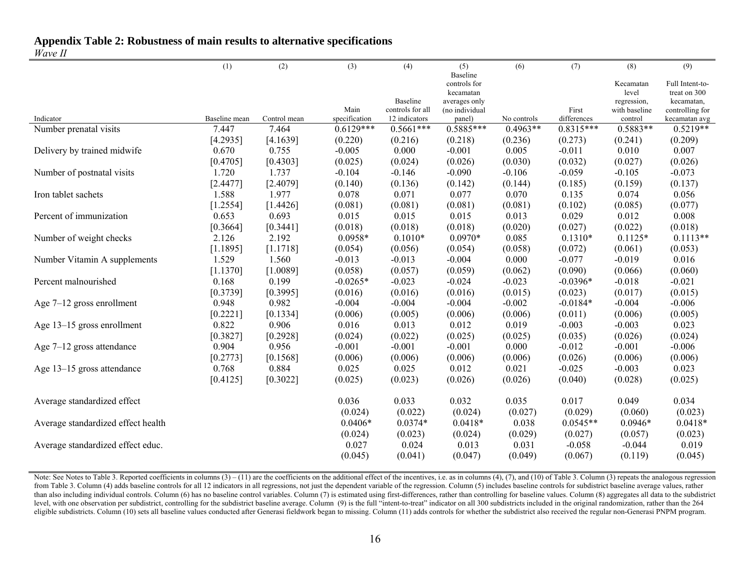## **Appendix Table 2: Robustness of main results to alternative specifications**

### *Wave II*

|                                    | (1)           | (2)          | (3)                  | (4)              | (5)                      | (6)         | (7)                   | (8)                  | (9)             |
|------------------------------------|---------------|--------------|----------------------|------------------|--------------------------|-------------|-----------------------|----------------------|-----------------|
|                                    |               |              |                      |                  | Baseline<br>controls for |             |                       | Kecamatan            | Full Intent-to- |
|                                    |               |              |                      |                  | kecamatan                |             |                       | level                | treat on 300    |
|                                    |               |              |                      | Baseline         | averages only            |             |                       | regression,          | kecamatan,      |
|                                    |               |              | Main                 | controls for all | (no individual           |             | First                 | with baseline        | controlling for |
| Indicator                          | Baseline mean | Control mean | specification        | 12 indicators    | panel)                   | No controls | differences           | control              | kecamatan avg   |
| Number prenatal visits             | 7.447         | 7.464        | $0.6129***$          | $0.5661***$      | $0.5885***$              | $0.4963**$  | $0.8315***$           | $0.5883**$           | $0.5219**$      |
|                                    | [4.2935]      | [4.1639]     | (0.220)              | (0.216)          | (0.218)                  | (0.236)     | (0.273)               | (0.241)              | (0.209)         |
| Delivery by trained midwife        | 0.670         | 0.755        | $-0.005$             | 0.000            | $-0.001$                 | 0.005       | $-0.011$              | 0.010                | 0.007           |
|                                    | [0.4705]      | [0.4303]     | (0.025)              | (0.024)          | (0.026)                  | (0.030)     | (0.032)               | (0.027)              | (0.026)         |
| Number of postnatal visits         | 1.720         | 1.737        | $-0.104$             | $-0.146$         | $-0.090$                 | $-0.106$    | $-0.059$              | $-0.105$             | $-0.073$        |
|                                    | [2.4477]      | [2.4079]     | (0.140)              | (0.136)          | (0.142)                  | (0.144)     | (0.185)               | (0.159)              | (0.137)         |
| Iron tablet sachets                | 1.588         | 1.977        | 0.078                | 0.071            | 0.077                    | 0.070       | 0.135                 | 0.074                | 0.056           |
|                                    | [1.2554]      | [1.4426]     | (0.081)              | (0.081)          | (0.081)                  | (0.081)     | (0.102)               | (0.085)              | (0.077)         |
| Percent of immunization            | 0.653         | 0.693        | 0.015                | 0.015            | 0.015                    | 0.013       | 0.029                 | 0.012                | 0.008           |
|                                    | [0.3664]      | [0.3441]     | (0.018)              | (0.018)          | (0.018)                  | (0.020)     | (0.027)               | (0.022)              | (0.018)         |
| Number of weight checks            | 2.126         | 2.192        | 0.0958*              | $0.1010*$        | $0.0970*$                | 0.085       | $0.1310*$             | $0.1125*$            | $0.1113**$      |
|                                    | [1.1895]      | [1.1718]     | (0.054)              | (0.056)          | (0.054)                  | (0.058)     | (0.072)               | (0.061)              | (0.053)         |
| Number Vitamin A supplements       | 1.529         | 1.560        | $-0.013$             | $-0.013$         | $-0.004$                 | 0.000       | $-0.077$              | $-0.019$             | 0.016           |
|                                    | [1.1370]      | [1.0089]     | (0.058)              | (0.057)          | (0.059)                  | (0.062)     | (0.090)               | (0.066)              | (0.060)         |
| Percent malnourished               | 0.168         | 0.199        | $-0.0265*$           | $-0.023$         | $-0.024$                 | $-0.023$    | $-0.0396*$            | $-0.018$             | $-0.021$        |
|                                    | [0.3739]      | [0.3995]     | (0.016)              | (0.016)          | (0.016)                  | (0.015)     | (0.023)               | (0.017)              | (0.015)         |
| Age $7-12$ gross enrollment        | 0.948         | 0.982        | $-0.004$             | $-0.004$         | $-0.004$                 | $-0.002$    | $-0.0184*$            | $-0.004$             | $-0.006$        |
|                                    | [0.2221]      | [0.1334]     | (0.006)              | (0.005)          | (0.006)                  | (0.006)     | (0.011)               | (0.006)              | (0.005)         |
| Age 13–15 gross enrollment         | 0.822         | 0.906        | 0.016                | 0.013            | 0.012                    | 0.019       | $-0.003$              | $-0.003$             | 0.023           |
|                                    | [0.3827]      | [0.2928]     | (0.024)              | (0.022)          | (0.025)                  | (0.025)     | (0.035)               | (0.026)              | (0.024)         |
| Age $7-12$ gross attendance        | 0.904         | 0.956        | $-0.001$             | $-0.001$         | $-0.001$                 | 0.000       | $-0.012$              | $-0.001$             | $-0.006$        |
|                                    | [0.2773]      | [0.1568]     | (0.006)              | (0.006)          | (0.006)                  | (0.006)     | (0.026)               | (0.006)              | (0.006)         |
|                                    |               |              |                      | 0.025            | 0.012                    | 0.021       |                       |                      |                 |
| Age 13–15 gross attendance         | 0.768         | 0.884        | 0.025                |                  |                          |             | $-0.025$              | $-0.003$             | 0.023           |
|                                    | [0.4125]      | [0.3022]     | (0.025)              | (0.023)          | (0.026)                  | (0.026)     | (0.040)               | (0.028)              | (0.025)         |
| Average standardized effect        |               |              | 0.036                | 0.033            | 0.032                    | 0.035       | 0.017                 | 0.049                | 0.034           |
|                                    |               |              |                      |                  |                          |             |                       |                      |                 |
|                                    |               |              | (0.024)<br>$0.0406*$ | (0.022)          | (0.024)                  | (0.027)     | (0.029)<br>$0.0545**$ | (0.060)<br>$0.0946*$ | (0.023)         |
| Average standardized effect health |               |              |                      | $0.0374*$        | $0.0418*$                | 0.038       |                       |                      | $0.0418*$       |
|                                    |               |              | (0.024)              | (0.023)          | (0.024)                  | (0.029)     | (0.027)               | (0.057)              | (0.023)         |
| Average standardized effect educ.  |               |              | 0.027                | 0.024            | 0.013                    | 0.031       | $-0.058$              | $-0.044$             | 0.019           |
|                                    |               |              | (0.045)              | (0.041)          | (0.047)                  | (0.049)     | (0.067)               | (0.119)              | (0.045)         |

Note: See Notes to Table 3. Reported coefficients in columns (3) – (11) are the coefficients on the additional effect of the incentives, i.e. as in columns (4), (7), and (10) of Table 3. Column (3) repeats the analogous re from Table 3. Column (4) adds baseline controls for all 12 indicators in all regressions, not just the dependent variable of the regression. Column (5) includes baseline controls for subdistrict baseline average values, ra than also including individual controls. Column (6) has no baseline control variables. Column (7) is estimated using first-differences, rather than controlling for baseline values. Column (8) aggregates all data to the sub level, with one observation per subdistrict, controlling for the subdistrict baseline average. Column (9) is the full "intent-to-treat" indicator on all 300 subdistricts included in the original randomization, rather than eligible subdistricts. Column (10) sets all baseline values conducted after Generasi fieldwork began to missing. Column (11) adds controls for whether the subdistrict also received the regular non-Generasi PNPM program.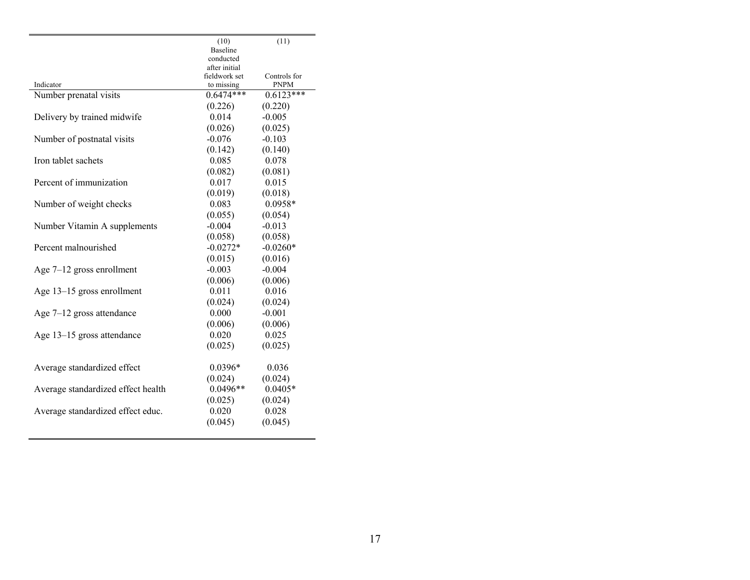|                                    | (10)                       | (11)         |
|------------------------------------|----------------------------|--------------|
|                                    | Baseline                   |              |
|                                    | conducted<br>after initial |              |
|                                    | fieldwork set              | Controls for |
| Indicator                          | to missing                 | PNPM         |
| Number prenatal visits             | $0.6474***$                | $0.6123***$  |
|                                    | (0.226)                    | (0.220)      |
| Delivery by trained midwife        | 0.014                      | $-0.005$     |
|                                    | (0.026)                    | (0.025)      |
| Number of postnatal visits         | $-0.076$                   | $-0.103$     |
|                                    | (0.142)                    | (0.140)      |
| Iron tablet sachets                | 0.085                      | 0.078        |
|                                    | (0.082)                    | (0.081)      |
| Percent of immunization            | 0.017                      | 0.015        |
|                                    | (0.019)                    | (0.018)      |
| Number of weight checks            | 0.083                      | 0.0958*      |
|                                    | (0.055)                    | (0.054)      |
| Number Vitamin A supplements       | $-0.004$                   | $-0.013$     |
|                                    | (0.058)                    | (0.058)      |
| Percent malnourished               | $-0.0272*$                 | $-0.0260*$   |
|                                    | (0.015)                    | (0.016)      |
| Age 7-12 gross enrollment          | $-0.003$                   | $-0.004$     |
|                                    | (0.006)                    | (0.006)      |
| Age 13–15 gross enrollment         | 0.011                      | 0.016        |
|                                    | (0.024)                    | (0.024)      |
| Age $7-12$ gross attendance        | 0.000                      | $-0.001$     |
|                                    | (0.006)                    | (0.006)      |
| Age 13-15 gross attendance         | 0.020                      | 0.025        |
|                                    | (0.025)                    | (0.025)      |
| Average standardized effect        | $0.0396*$                  | 0.036        |
|                                    | (0.024)                    | (0.024)      |
| Average standardized effect health | $0.0496**$                 | $0.0405*$    |
|                                    | (0.025)                    | (0.024)      |
| Average standardized effect educ.  | 0.020                      | 0.028        |
|                                    | (0.045)                    | (0.045)      |
|                                    |                            |              |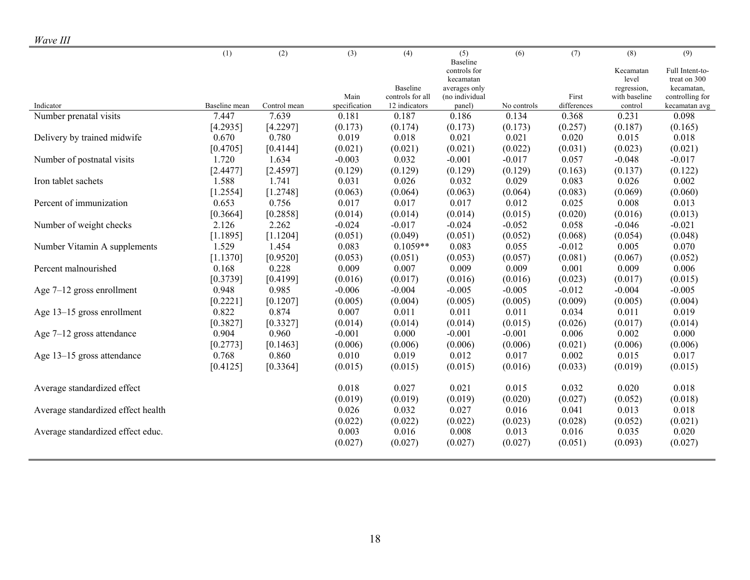|                                    | (1)           | (2)               | (3)                   | (4)                               | (5)                      | (6)         | (7)                  | (8)                      | (9)                              |
|------------------------------------|---------------|-------------------|-----------------------|-----------------------------------|--------------------------|-------------|----------------------|--------------------------|----------------------------------|
|                                    |               |                   |                       |                                   | Baseline<br>controls for |             |                      | Kecamatan                | Full Intent-to-                  |
|                                    |               |                   |                       |                                   | kecamatan                |             |                      | level                    | treat on 300                     |
|                                    |               |                   |                       | Baseline                          | averages only            |             |                      | regression,              | kecamatan,                       |
| Indicator                          | Baseline mean | Control mean      | Main<br>specification | controls for all<br>12 indicators | (no individual<br>panel) | No controls | First<br>differences | with baseline<br>control | controlling for<br>kecamatan avg |
| Number prenatal visits             | 7.447         | 7.639             | 0.181                 | 0.187                             | 0.186                    | 0.134       | 0.368                | 0.231                    | 0.098                            |
|                                    | [4.2935]      | [4.2297]          | (0.173)               | (0.174)                           | (0.173)                  | (0.173)     | (0.257)              | (0.187)                  | (0.165)                          |
| Delivery by trained midwife        | 0.670         | 0.780             | 0.019                 | 0.018                             | 0.021                    | 0.021       | 0.020                | 0.015                    | 0.018                            |
|                                    |               |                   | (0.021)               | (0.021)                           | (0.021)                  | (0.022)     |                      | (0.023)                  | (0.021)                          |
|                                    | [0.4705]      | [0.4144]<br>1.634 |                       | 0.032                             | $-0.001$                 | $-0.017$    | (0.031)<br>0.057     | $-0.048$                 | $-0.017$                         |
| Number of postnatal visits         | 1.720         |                   | $-0.003$              |                                   |                          |             |                      |                          |                                  |
|                                    | [2.4477]      | [2.4597]          | (0.129)               | (0.129)                           | (0.129)                  | (0.129)     | (0.163)              | (0.137)                  | (0.122)                          |
| Iron tablet sachets                | 1.588         | 1.741             | 0.031                 | 0.026                             | 0.032                    | 0.029       | 0.083                | 0.026                    | 0.002                            |
|                                    | [1.2554]      | [1.2748]          | (0.063)               | (0.064)                           | (0.063)                  | (0.064)     | (0.083)              | (0.069)                  | (0.060)                          |
| Percent of immunization            | 0.653         | 0.756             | 0.017                 | 0.017                             | 0.017                    | 0.012       | 0.025                | 0.008                    | 0.013                            |
|                                    | [0.3664]      | [0.2858]          | (0.014)               | (0.014)                           | (0.014)                  | (0.015)     | (0.020)              | (0.016)                  | (0.013)                          |
| Number of weight checks            | 2.126         | 2.262             | $-0.024$              | $-0.017$                          | $-0.024$                 | $-0.052$    | 0.058                | $-0.046$                 | $-0.021$                         |
|                                    | [1.1895]      | [1.1204]          | (0.051)               | (0.049)                           | (0.051)                  | (0.052)     | (0.068)              | (0.054)                  | (0.048)                          |
| Number Vitamin A supplements       | 1.529         | 1.454             | 0.083                 | $0.1059**$                        | 0.083                    | 0.055       | $-0.012$             | 0.005                    | 0.070                            |
|                                    | [1.1370]      | [0.9520]          | (0.053)               | (0.051)                           | (0.053)                  | (0.057)     | (0.081)              | (0.067)                  | (0.052)                          |
| Percent malnourished               | 0.168         | 0.228             | 0.009                 | 0.007                             | 0.009                    | 0.009       | 0.001                | 0.009                    | 0.006                            |
|                                    | [0.3739]      | [0.4199]          | (0.016)               | (0.017)                           | (0.016)                  | (0.016)     | (0.023)              | (0.017)                  | (0.015)                          |
| Age $7-12$ gross enrollment        | 0.948         | 0.985             | $-0.006$              | $-0.004$                          | $-0.005$                 | $-0.005$    | $-0.012$             | $-0.004$                 | $-0.005$                         |
|                                    | [0.2221]      | [0.1207]          | (0.005)               | (0.004)                           | (0.005)                  | (0.005)     | (0.009)              | (0.005)                  | (0.004)                          |
| Age 13-15 gross enrollment         | 0.822         | 0.874             | 0.007                 | 0.011                             | 0.011                    | 0.011       | 0.034                | 0.011                    | 0.019                            |
|                                    | [0.3827]      | [0.3327]          | (0.014)               | (0.014)                           | (0.014)                  | (0.015)     | (0.026)              | (0.017)                  | (0.014)                          |
| Age $7-12$ gross attendance        | 0.904         | 0.960             | $-0.001$              | 0.000                             | $-0.001$                 | $-0.001$    | 0.006                | 0.002                    | 0.000                            |
|                                    | [0.2773]      | [0.1463]          | (0.006)               | (0.006)                           | (0.006)                  | (0.006)     | (0.021)              | (0.006)                  | (0.006)                          |
| Age 13-15 gross attendance         | 0.768         | 0.860             | 0.010                 | 0.019                             | 0.012                    | 0.017       | 0.002                | 0.015                    | 0.017                            |
|                                    | [0.4125]      | [0.3364]          | (0.015)               | (0.015)                           | (0.015)                  | (0.016)     | (0.033)              | (0.019)                  | (0.015)                          |
| Average standardized effect        |               |                   | 0.018                 | 0.027                             | 0.021                    | 0.015       | 0.032                | 0.020                    | 0.018                            |
|                                    |               |                   | (0.019)               | (0.019)                           | (0.019)                  | (0.020)     | (0.027)              | (0.052)                  | (0.018)                          |
| Average standardized effect health |               |                   | 0.026                 | 0.032                             | 0.027                    | 0.016       | 0.041                | 0.013                    | 0.018                            |
|                                    |               |                   | (0.022)               | (0.022)                           | (0.022)                  | (0.023)     | (0.028)              | (0.052)                  | (0.021)                          |
| Average standardized effect educ.  |               |                   | 0.003                 | 0.016                             | 0.008                    | 0.013       | 0.016                | 0.035                    | 0.020                            |
|                                    |               |                   | (0.027)               | (0.027)                           | (0.027)                  | (0.027)     | (0.051)              | (0.093)                  | (0.027)                          |
|                                    |               |                   |                       |                                   |                          |             |                      |                          |                                  |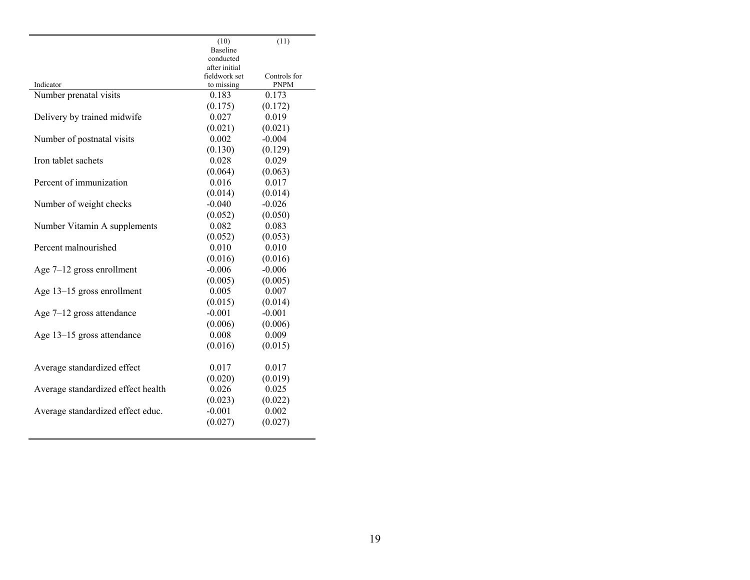|                                    | (10)                           | (11)         |
|------------------------------------|--------------------------------|--------------|
|                                    | Baseline                       |              |
|                                    | conducted                      |              |
|                                    | after initial<br>fieldwork set | Controls for |
| Indicator                          | to missing                     | <b>PNPM</b>  |
| Number prenatal visits             | 0.183                          | 0.173        |
|                                    | (0.175)                        | (0.172)      |
| Delivery by trained midwife        | 0.027                          | 0.019        |
|                                    | (0.021)                        | (0.021)      |
| Number of postnatal visits         | 0.002                          | $-0.004$     |
|                                    | (0.130)                        | (0.129)      |
| Iron tablet sachets                | 0.028                          | 0.029        |
|                                    | (0.064)                        | (0.063)      |
| Percent of immunization            | 0.016                          | 0.017        |
|                                    | (0.014)                        | (0.014)      |
| Number of weight checks            | $-0.040$                       | $-0.026$     |
|                                    | (0.052)                        | (0.050)      |
| Number Vitamin A supplements       | 0.082                          | 0.083        |
|                                    | (0.052)                        | (0.053)      |
| Percent malnourished               | 0.010                          | 0.010        |
|                                    | (0.016)                        | (0.016)      |
| Age $7-12$ gross enrollment        | $-0.006$                       | $-0.006$     |
|                                    | (0.005)                        | (0.005)      |
| Age 13–15 gross enrollment         | 0.005                          | 0.007        |
|                                    | (0.015)                        | (0.014)      |
| Age $7-12$ gross attendance        | $-0.001$                       | $-0.001$     |
|                                    | (0.006)                        | (0.006)      |
| Age 13-15 gross attendance         | 0.008                          | 0.009        |
|                                    | (0.016)                        | (0.015)      |
| Average standardized effect        | 0.017                          | 0.017        |
|                                    | (0.020)                        | (0.019)      |
| Average standardized effect health | 0.026                          | 0.025        |
|                                    | (0.023)                        | (0.022)      |
| Average standardized effect educ.  | $-0.001$                       | 0.002        |
|                                    | (0.027)                        | (0.027)      |
|                                    |                                |              |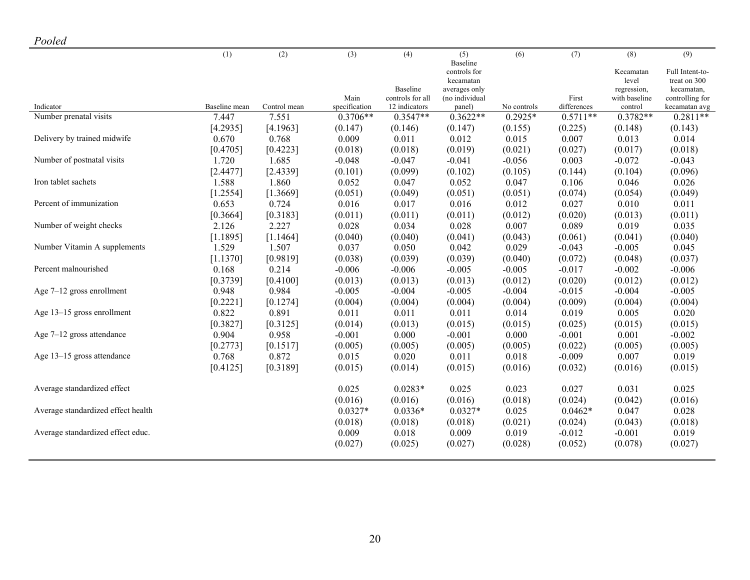| Pooled |  |
|--------|--|
|--------|--|

| - - - - - -                        |               |              |                       |                                   |                          |             |                      |                       |                             |
|------------------------------------|---------------|--------------|-----------------------|-----------------------------------|--------------------------|-------------|----------------------|-----------------------|-----------------------------|
|                                    | (1)           | (2)          | (3)                   | (4)                               | (5)                      | (6)         | (7)                  | (8)                   | (9)                         |
|                                    |               |              |                       |                                   | Baseline<br>controls for |             |                      | Kecamatan             | Full Intent-to-             |
|                                    |               |              |                       |                                   | kecamatan                |             |                      | level                 | treat on 300                |
|                                    |               |              |                       | Baseline                          | averages only            |             |                      | regression,           | kecamatan,                  |
| Indicator                          | Baseline mean | Control mean | Main<br>specification | controls for all<br>12 indicators | (no individual<br>panel) | No controls | First<br>differences | with baseline         | controlling for             |
| Number prenatal visits             | 7.447         | 7.551        | $0.3706**$            | $0.3547**$                        | $0.3622**$               | $0.2925*$   | $0.5711**$           | control<br>$0.3782**$ | kecamatan avg<br>$0.2811**$ |
|                                    | [4.2935]      | [4.1963]     | (0.147)               | (0.146)                           | (0.147)                  | (0.155)     | (0.225)              | (0.148)               | (0.143)                     |
| Delivery by trained midwife        | 0.670         | 0.768        | 0.009                 | 0.011                             | 0.012                    | 0.015       | 0.007                | 0.013                 | 0.014                       |
|                                    | [0.4705]      | [0.4223]     | (0.018)               | (0.018)                           | (0.019)                  | (0.021)     | (0.027)              | (0.017)               | (0.018)                     |
| Number of postnatal visits         | 1.720         | 1.685        | $-0.048$              | $-0.047$                          | $-0.041$                 | $-0.056$    | 0.003                | $-0.072$              | $-0.043$                    |
|                                    | [2.4477]      | [2.4339]     | (0.101)               | (0.099)                           | (0.102)                  | (0.105)     | (0.144)              | (0.104)               | (0.096)                     |
| Iron tablet sachets                | 1.588         | 1.860        | 0.052                 | 0.047                             | 0.052                    | 0.047       | 0.106                | 0.046                 | 0.026                       |
|                                    | [1.2554]      | [1.3669]     | (0.051)               | (0.049)                           | (0.051)                  | (0.051)     | (0.074)              | (0.054)               | (0.049)                     |
| Percent of immunization            | 0.653         | 0.724        | 0.016                 | 0.017                             | 0.016                    | 0.012       | 0.027                | 0.010                 | 0.011                       |
|                                    | [0.3664]      | [0.3183]     | (0.011)               | (0.011)                           | (0.011)                  | (0.012)     | (0.020)              | (0.013)               | (0.011)                     |
| Number of weight checks            | 2.126         | 2.227        | 0.028                 | 0.034                             | 0.028                    | 0.007       | 0.089                | 0.019                 | 0.035                       |
|                                    | [1.1895]      | [1.1464]     | (0.040)               | (0.040)                           | (0.041)                  | (0.043)     | (0.061)              | (0.041)               | (0.040)                     |
| Number Vitamin A supplements       | 1.529         | 1.507        | 0.037                 | 0.050                             | 0.042                    | 0.029       | $-0.043$             | $-0.005$              | 0.045                       |
|                                    | [1.1370]      | [0.9819]     | (0.038)               | (0.039)                           | (0.039)                  | (0.040)     | (0.072)              | (0.048)               | (0.037)                     |
| Percent malnourished               | 0.168         | 0.214        | $-0.006$              | $-0.006$                          | $-0.005$                 | $-0.005$    | $-0.017$             | $-0.002$              | $-0.006$                    |
|                                    | [0.3739]      | [0.4100]     | (0.013)               | (0.013)                           | (0.013)                  | (0.012)     | (0.020)              | (0.012)               | (0.012)                     |
| Age 7-12 gross enrollment          | 0.948         | 0.984        | $-0.005$              | $-0.004$                          | $-0.005$                 | $-0.004$    | $-0.015$             | $-0.004$              | $-0.005$                    |
|                                    | [0.2221]      | [0.1274]     | (0.004)               | (0.004)                           | (0.004)                  | (0.004)     | (0.009)              | (0.004)               | (0.004)                     |
| Age 13-15 gross enrollment         | 0.822         | 0.891        | 0.011                 | 0.011                             | 0.011                    | 0.014       | 0.019                | 0.005                 | 0.020                       |
|                                    | [0.3827]      | [0.3125]     | (0.014)               | (0.013)                           | (0.015)                  | (0.015)     | (0.025)              | (0.015)               | (0.015)                     |
| Age 7-12 gross attendance          | 0.904         | 0.958        | $-0.001$              | 0.000                             | $-0.001$                 | 0.000       | $-0.001$             | 0.001                 | $-0.002$                    |
|                                    | [0.2773]      | [0.1517]     | (0.005)               | (0.005)                           | (0.005)                  | (0.005)     | (0.022)              | (0.005)               | (0.005)                     |
| Age 13-15 gross attendance         | 0.768         | 0.872        | 0.015                 | 0.020                             | 0.011                    | 0.018       | $-0.009$             | 0.007                 | 0.019                       |
|                                    | [0.4125]      | [0.3189]     | (0.015)               | (0.014)                           | (0.015)                  | (0.016)     | (0.032)              | (0.016)               | (0.015)                     |
| Average standardized effect        |               |              | 0.025                 | $0.0283*$                         | 0.025                    | 0.023       | 0.027                | 0.031                 | 0.025                       |
|                                    |               |              | (0.016)               | (0.016)                           | (0.016)                  | (0.018)     | (0.024)              | (0.042)               | (0.016)                     |
| Average standardized effect health |               |              | $0.0327*$             | $0.0336*$                         | $0.0327*$                | 0.025       | $0.0462*$            | 0.047                 | 0.028                       |
|                                    |               |              | (0.018)               | (0.018)                           | (0.018)                  | (0.021)     | (0.024)              | (0.043)               | (0.018)                     |
| Average standardized effect educ.  |               |              | 0.009                 | 0.018                             | 0.009                    | 0.019       | $-0.012$             | $-0.001$              | 0.019                       |
|                                    |               |              | (0.027)               | (0.025)                           | (0.027)                  | (0.028)     | (0.052)              | (0.078)               | (0.027)                     |
|                                    |               |              |                       |                                   |                          |             |                      |                       |                             |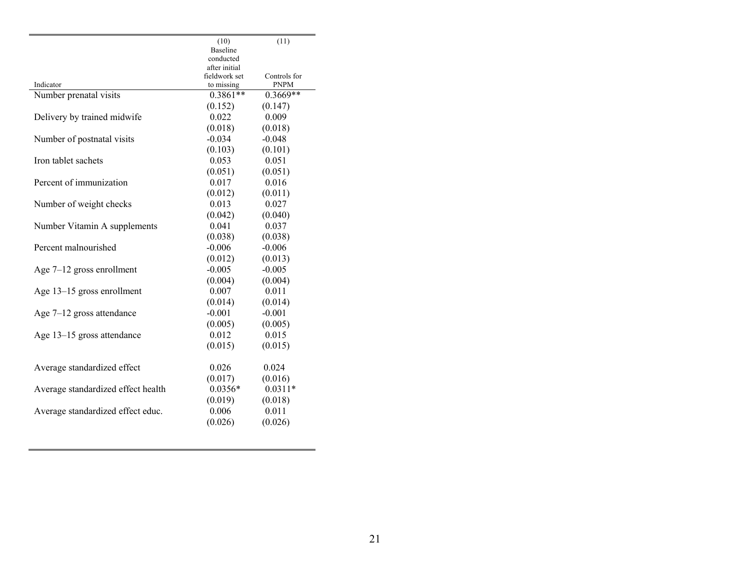|                                    | (10)                           | (11)         |
|------------------------------------|--------------------------------|--------------|
|                                    | Baseline                       |              |
|                                    | conducted                      |              |
|                                    | after initial<br>fieldwork set | Controls for |
| Indicator                          | to missing                     | <b>PNPM</b>  |
| Number prenatal visits             | $0.3861**$                     | $0.3669**$   |
|                                    | (0.152)                        | (0.147)      |
| Delivery by trained midwife        | 0.022                          | 0.009        |
|                                    | (0.018)                        | (0.018)      |
| Number of postnatal visits         | $-0.034$                       | $-0.048$     |
|                                    | (0.103)                        | (0.101)      |
| Iron tablet sachets                | 0.053                          | 0.051        |
|                                    | (0.051)                        | (0.051)      |
| Percent of immunization            | 0.017                          | 0.016        |
|                                    | (0.012)                        | (0.011)      |
| Number of weight checks            | 0.013                          | 0.027        |
|                                    | (0.042)                        | (0.040)      |
| Number Vitamin A supplements       | 0.041                          | 0.037        |
|                                    | (0.038)                        | (0.038)      |
| Percent malnourished               | $-0.006$                       | $-0.006$     |
|                                    | (0.012)                        | (0.013)      |
| Age $7-12$ gross enrollment        | $-0.005$                       | $-0.005$     |
|                                    | (0.004)                        | (0.004)      |
| Age 13–15 gross enrollment         | 0.007                          | 0.011        |
|                                    | (0.014)                        | (0.014)      |
| Age $7-12$ gross attendance        | $-0.001$                       | $-0.001$     |
|                                    | (0.005)                        | (0.005)      |
| Age 13-15 gross attendance         | 0.012                          | 0.015        |
|                                    | (0.015)                        | (0.015)      |
|                                    |                                |              |
| Average standardized effect        | 0.026                          | 0.024        |
|                                    | (0.017)                        | (0.016)      |
| Average standardized effect health | $0.0356*$                      | $0.0311*$    |
|                                    | (0.019)                        | (0.018)      |
| Average standardized effect educ.  | 0.006                          | 0.011        |
|                                    | (0.026)                        | (0.026)      |
|                                    |                                |              |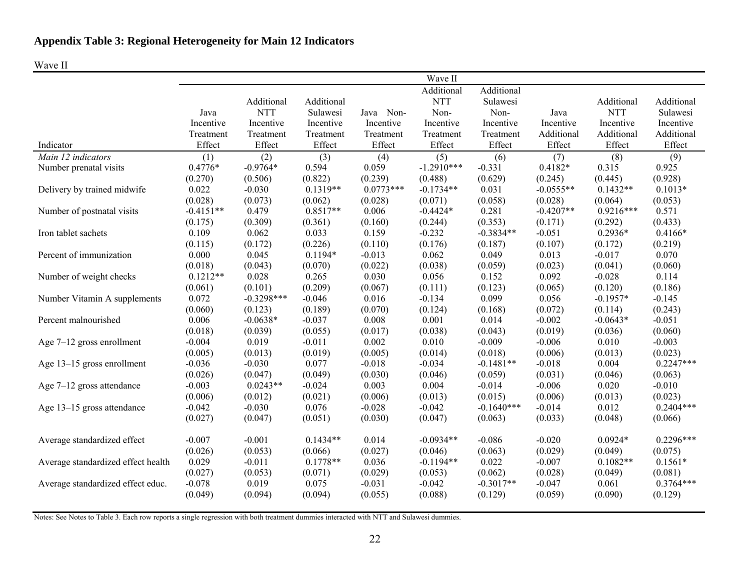### Wave II

|                                    |             |              |                       |                  | Wave II                |                        |                     |                       |                        |
|------------------------------------|-------------|--------------|-----------------------|------------------|------------------------|------------------------|---------------------|-----------------------|------------------------|
|                                    |             |              |                       |                  | Additional             | Additional             |                     |                       |                        |
|                                    |             | Additional   | Additional            |                  | <b>NTT</b>             | Sulawesi               |                     | Additional            | Additional             |
|                                    | Java        | <b>NTT</b>   | Sulawesi              | Java Non-        | Non-                   | Non-                   | Java                | <b>NTT</b>            | Sulawesi               |
|                                    | Incentive   | Incentive    | Incentive             | Incentive        | Incentive              | Incentive              | Incentive           | Incentive             | Incentive              |
|                                    | Treatment   | Treatment    | Treatment             | Treatment        | Treatment              | Treatment              | Additional          | Additional            | Additional             |
| Indicator                          | Effect      | Effect       | Effect                | Effect           | Effect                 | Effect                 | Effect              | Effect                | Effect                 |
| Main 12 indicators                 | (1)         | (2)          | (3)                   | (4)              | (5)                    | (6)                    | (7)                 | (8)                   | (9)                    |
| Number prenatal visits             | $0.4776*$   | $-0.9764*$   | 0.594                 | 0.059            | $-1.2910***$           | $-0.331$               | $0.4182*$           | 0.315                 | 0.925                  |
|                                    | (0.270)     | (0.506)      | (0.822)               | (0.239)          | (0.488)                | (0.629)                | (0.245)             | (0.445)               | (0.928)                |
| Delivery by trained midwife        | 0.022       | $-0.030$     | $0.1319**$            | $0.0773***$      | $-0.1734**$            | 0.031                  | $-0.0555**$         | $0.1432**$            | $0.1013*$              |
|                                    | (0.028)     | (0.073)      | (0.062)               | (0.028)          | (0.071)                | (0.058)                | (0.028)             | (0.064)               | (0.053)                |
| Number of postnatal visits         | $-0.4151**$ | 0.479        | $0.8517**$            | 0.006            | $-0.4424*$             | 0.281                  | $-0.4207**$         | $0.9216***$           | 0.571                  |
|                                    | (0.175)     | (0.309)      | (0.361)               | (0.160)          | (0.244)                | (0.353)                | (0.171)             | (0.292)               | (0.433)                |
| Iron tablet sachets                | 0.109       | 0.062        | 0.033                 | 0.159            | $-0.232$               | $-0.3834**$            | $-0.051$            | $0.2936*$             | $0.4166*$              |
|                                    | (0.115)     | (0.172)      | (0.226)               | (0.110)          | (0.176)                | (0.187)                | (0.107)             | (0.172)               | (0.219)                |
| Percent of immunization            | 0.000       | 0.045        | $0.1194*$             | $-0.013$         | 0.062                  | 0.049                  | 0.013               | $-0.017$              | 0.070                  |
|                                    | (0.018)     | (0.043)      | (0.070)               | (0.022)          | (0.038)                | (0.059)                | (0.023)             | (0.041)               | (0.060)                |
| Number of weight checks            | $0.1212**$  | 0.028        | 0.265                 | 0.030            | 0.056                  | 0.152                  | 0.092               | $-0.028$              | 0.114                  |
|                                    | (0.061)     | (0.101)      | (0.209)               | (0.067)          | (0.111)                | (0.123)                | (0.065)             | (0.120)               | (0.186)                |
| Number Vitamin A supplements       | 0.072       | $-0.3298***$ | $-0.046$              | 0.016            | $-0.134$               | 0.099                  | 0.056               | $-0.1957*$            | $-0.145$               |
|                                    | (0.060)     | (0.123)      | (0.189)               | (0.070)          | (0.124)                | (0.168)                | (0.072)             | (0.114)               | (0.243)                |
| Percent malnourished               | 0.006       | $-0.0638*$   | $-0.037$              | 0.008            | 0.001                  | 0.014                  | $-0.002$            | $-0.0643*$            | $-0.051$               |
|                                    | (0.018)     | (0.039)      | (0.055)               | (0.017)          | (0.038)                | (0.043)                | (0.019)             | (0.036)               | (0.060)                |
| Age $7-12$ gross enrollment        | $-0.004$    | 0.019        | $-0.011$              | 0.002            | 0.010                  | $-0.009$               | $-0.006$            | 0.010                 | $-0.003$               |
|                                    | (0.005)     | (0.013)      | (0.019)               | (0.005)          | (0.014)                | (0.018)                | (0.006)             | (0.013)               | (0.023)                |
| Age 13-15 gross enrollment         | $-0.036$    | $-0.030$     | 0.077                 | $-0.018$         | $-0.034$               | $-0.1481**$            | $-0.018$            | 0.004                 | $0.2247***$            |
|                                    | (0.026)     | (0.047)      | (0.049)               | (0.030)          | (0.046)                | (0.059)                | (0.031)             | (0.046)               | (0.063)                |
| Age $7-12$ gross attendance        | $-0.003$    | $0.0243**$   | $-0.024$              | 0.003            | 0.004                  | $-0.014$               | $-0.006$            | 0.020                 | $-0.010$               |
|                                    | (0.006)     | (0.012)      | (0.021)               | (0.006)          | (0.013)                | (0.015)                | (0.006)             | (0.013)               | (0.023)                |
| Age 13–15 gross attendance         | $-0.042$    | $-0.030$     | 0.076                 | $-0.028$         | $-0.042$               | $-0.1640***$           | $-0.014$            | 0.012                 | $0.2404***$            |
|                                    | (0.027)     | (0.047)      | (0.051)               | (0.030)          | (0.047)                | (0.063)                | (0.033)             | (0.048)               | (0.066)                |
| Average standardized effect        | $-0.007$    | $-0.001$     | $0.1434**$            | 0.014            | $-0.0934**$            | $-0.086$               | $-0.020$            | $0.0924*$             | $0.2296***$            |
|                                    | (0.026)     | (0.053)      |                       |                  |                        |                        |                     |                       |                        |
|                                    | 0.029       | $-0.011$     | (0.066)<br>$0.1778**$ | (0.027)<br>0.036 | (0.046)<br>$-0.1194**$ | (0.063)<br>0.022       | (0.029)<br>$-0.007$ | (0.049)<br>$0.1082**$ | (0.075)<br>$0.1561*$   |
| Average standardized effect health |             |              |                       |                  |                        |                        |                     |                       |                        |
|                                    | (0.027)     | (0.053)      | (0.071)               | (0.029)          | (0.053)                | (0.062)<br>$-0.3017**$ | (0.028)             | (0.049)<br>0.061      | (0.081)<br>$0.3764***$ |
| Average standardized effect educ.  | $-0.078$    | 0.019        | 0.075                 | $-0.031$         | $-0.042$               |                        | $-0.047$            |                       |                        |
|                                    | (0.049)     | (0.094)      | (0.094)               | (0.055)          | (0.088)                | (0.129)                | (0.059)             | (0.090)               | (0.129)                |

Notes: See Notes to Table 3. Each row reports a single regression with both treatment dummies interacted with NTT and Sulawesi dummies.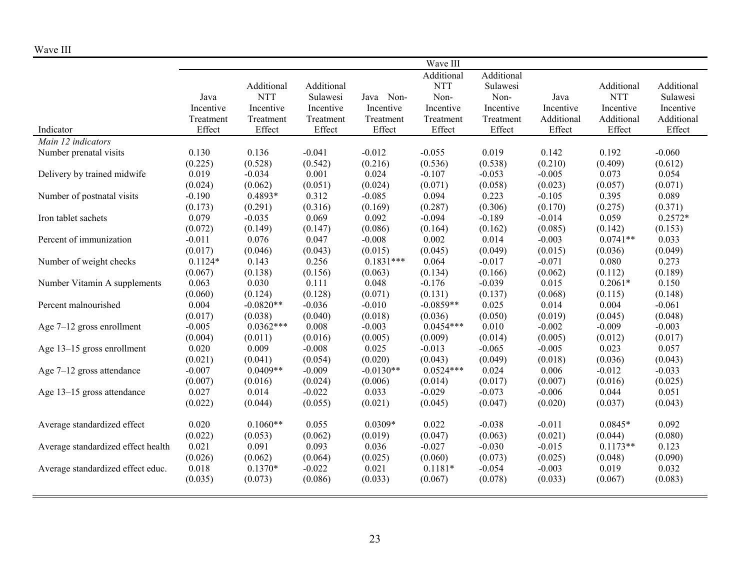| ,, ,, , , , , ,                    |                  |                    |            |                     | Wave III    |            |            |            |            |
|------------------------------------|------------------|--------------------|------------|---------------------|-------------|------------|------------|------------|------------|
|                                    |                  |                    |            |                     | Additional  | Additional |            |            |            |
|                                    |                  | Additional         | Additional |                     | <b>NTT</b>  | Sulawesi   |            | Additional | Additional |
|                                    | Java             | <b>NTT</b>         | Sulawesi   | Java Non-           | Non-        | Non-       | Java       | <b>NTT</b> | Sulawesi   |
|                                    | Incentive        | Incentive          | Incentive  | Incentive           | Incentive   | Incentive  | Incentive  | Incentive  | Incentive  |
|                                    | Treatment        | Treatment          | Treatment  | Treatment           | Treatment   | Treatment  | Additional | Additional | Additional |
| Indicator                          | Effect           | Effect             | Effect     | Effect              | Effect      | Effect     | Effect     | Effect     | Effect     |
| Main 12 indicators                 |                  |                    |            |                     |             |            |            |            |            |
| Number prenatal visits             | 0.130            | 0.136              | $-0.041$   | $-0.012$            | $-0.055$    | 0.019      | 0.142      | 0.192      | $-0.060$   |
|                                    |                  |                    |            | (0.216)             | (0.536)     |            | (0.210)    | (0.409)    | (0.612)    |
|                                    | (0.225)<br>0.019 | (0.528)            | (0.542)    | 0.024               | $-0.107$    | (0.538)    |            | 0.073      |            |
| Delivery by trained midwife        |                  | $-0.034$           | 0.001      |                     |             | $-0.053$   | $-0.005$   |            | 0.054      |
|                                    | (0.024)          | (0.062)<br>0.4893* | (0.051)    | (0.024)<br>$-0.085$ | (0.071)     | (0.058)    | (0.023)    | (0.057)    | (0.071)    |
| Number of postnatal visits         | $-0.190$         |                    | 0.312      |                     | 0.094       | 0.223      | $-0.105$   | 0.395      | 0.089      |
|                                    | (0.173)          | (0.291)            | (0.316)    | (0.169)<br>0.092    | (0.287)     | (0.306)    | (0.170)    | (0.275)    | (0.371)    |
| Iron tablet sachets                | 0.079            | $-0.035$           | 0.069      |                     | $-0.094$    | $-0.189$   | $-0.014$   | 0.059      | $0.2572*$  |
|                                    | (0.072)          | (0.149)            | (0.147)    | (0.086)             | (0.164)     | (0.162)    | (0.085)    | (0.142)    | (0.153)    |
| Percent of immunization            | $-0.011$         | 0.076              | 0.047      | $-0.008$            | 0.002       | 0.014      | $-0.003$   | $0.0741**$ | 0.033      |
|                                    | (0.017)          | (0.046)            | (0.043)    | (0.015)             | (0.045)     | (0.049)    | (0.015)    | (0.036)    | (0.049)    |
| Number of weight checks            | $0.1124*$        | 0.143              | 0.256      | $0.1831***$         | 0.064       | $-0.017$   | $-0.071$   | 0.080      | 0.273      |
|                                    | (0.067)          | (0.138)            | (0.156)    | (0.063)             | (0.134)     | (0.166)    | (0.062)    | (0.112)    | (0.189)    |
| Number Vitamin A supplements       | 0.063            | 0.030              | 0.111      | 0.048               | $-0.176$    | $-0.039$   | 0.015      | $0.2061*$  | 0.150      |
|                                    | (0.060)          | (0.124)            | (0.128)    | (0.071)             | (0.131)     | (0.137)    | (0.068)    | (0.115)    | (0.148)    |
| Percent malnourished               | 0.004            | $-0.0820**$        | $-0.036$   | $-0.010$            | $-0.0859**$ | 0.025      | 0.014      | 0.004      | $-0.061$   |
|                                    | (0.017)          | (0.038)            | (0.040)    | (0.018)             | (0.036)     | (0.050)    | (0.019)    | (0.045)    | (0.048)    |
| Age $7-12$ gross enrollment        | $-0.005$         | $0.0362***$        | 0.008      | $-0.003$            | $0.0454***$ | 0.010      | $-0.002$   | $-0.009$   | $-0.003$   |
|                                    | (0.004)          | (0.011)            | (0.016)    | (0.005)             | (0.009)     | (0.014)    | (0.005)    | (0.012)    | (0.017)    |
| Age 13-15 gross enrollment         | 0.020            | 0.009              | $-0.008$   | 0.025               | $-0.013$    | $-0.065$   | $-0.005$   | 0.023      | 0.057      |
|                                    | (0.021)          | (0.041)            | (0.054)    | (0.020)             | (0.043)     | (0.049)    | (0.018)    | (0.036)    | (0.043)    |
| Age 7-12 gross attendance          | $-0.007$         | $0.0409**$         | $-0.009$   | $-0.0130**$         | $0.0524***$ | 0.024      | 0.006      | $-0.012$   | $-0.033$   |
|                                    | (0.007)          | (0.016)            | (0.024)    | (0.006)             | (0.014)     | (0.017)    | (0.007)    | (0.016)    | (0.025)    |
| Age 13-15 gross attendance         | 0.027            | 0.014              | $-0.022$   | 0.033               | $-0.029$    | $-0.073$   | $-0.006$   | 0.044      | 0.051      |
|                                    | (0.022)          | (0.044)            | (0.055)    | (0.021)             | (0.045)     | (0.047)    | (0.020)    | (0.037)    | (0.043)    |
|                                    |                  |                    |            |                     |             |            |            |            |            |
| Average standardized effect        | 0.020            | $0.1060**$         | 0.055      | $0.0309*$           | 0.022       | $-0.038$   | $-0.011$   | $0.0845*$  | 0.092      |
|                                    | (0.022)          | (0.053)            | (0.062)    | (0.019)             | (0.047)     | (0.063)    | (0.021)    | (0.044)    | (0.080)    |
| Average standardized effect health | 0.021            | 0.091              | 0.093      | 0.036               | $-0.027$    | $-0.030$   | $-0.015$   | $0.1173**$ | 0.123      |
|                                    | (0.026)          | (0.062)            | (0.064)    | (0.025)             | (0.060)     | (0.073)    | (0.025)    | (0.048)    | (0.090)    |
| Average standardized effect educ.  | 0.018            | $0.1370*$          | $-0.022$   | 0.021               | $0.1181*$   | $-0.054$   | $-0.003$   | 0.019      | 0.032      |
|                                    | (0.035)          | (0.073)            | (0.086)    | (0.033)             | (0.067)     | (0.078)    | (0.033)    | (0.067)    | (0.083)    |
|                                    |                  |                    |            |                     |             |            |            |            |            |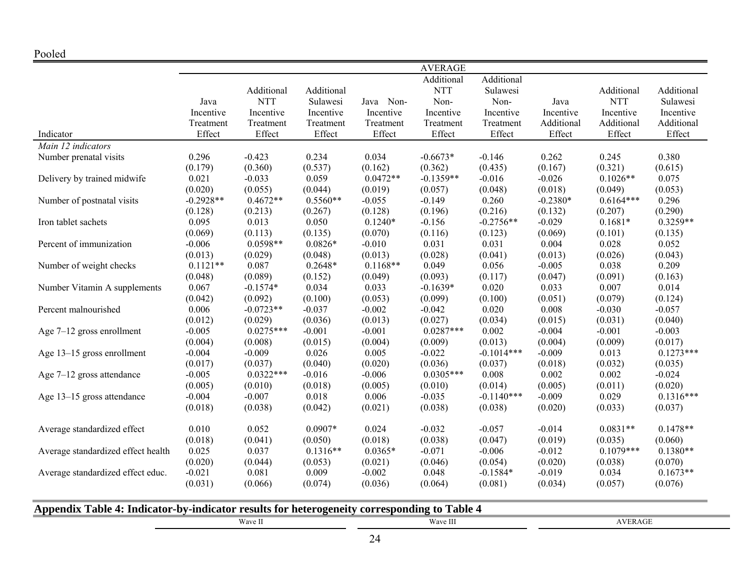|                                    |             |             |            |            | <b>AVERAGE</b> |              |            |             |             |
|------------------------------------|-------------|-------------|------------|------------|----------------|--------------|------------|-------------|-------------|
|                                    |             |             |            |            | Additional     | Additional   |            |             |             |
|                                    |             | Additional  | Additional |            | <b>NTT</b>     | Sulawesi     |            | Additional  | Additional  |
|                                    | Java        | <b>NTT</b>  | Sulawesi   | Java Non-  | Non-           | Non-         | Java       | <b>NTT</b>  | Sulawesi    |
|                                    | Incentive   | Incentive   | Incentive  | Incentive  | Incentive      | Incentive    | Incentive  | Incentive   | Incentive   |
|                                    | Treatment   | Treatment   | Treatment  | Treatment  | Treatment      | Treatment    | Additional | Additional  | Additional  |
| Indicator                          | Effect      | Effect      | Effect     | Effect     | Effect         | Effect       | Effect     | Effect      | Effect      |
| Main 12 indicators                 |             |             |            |            |                |              |            |             |             |
| Number prenatal visits             | 0.296       | $-0.423$    | 0.234      | 0.034      | $-0.6673*$     | $-0.146$     | 0.262      | 0.245       | 0.380       |
|                                    | (0.179)     | (0.360)     | (0.537)    | (0.162)    | (0.362)        | (0.435)      | (0.167)    | (0.321)     | (0.615)     |
| Delivery by trained midwife        | 0.021       | $-0.033$    | 0.059      | $0.0472**$ | $-0.1359**$    | $-0.016$     | $-0.026$   | $0.1026**$  | 0.075       |
|                                    | (0.020)     | (0.055)     | (0.044)    | (0.019)    | (0.057)        | (0.048)      | (0.018)    | (0.049)     | (0.053)     |
| Number of postnatal visits         | $-0.2928**$ | $0.4672**$  | $0.5560**$ | $-0.055$   | $-0.149$       | 0.260        | $-0.2380*$ | $0.6164***$ | 0.296       |
|                                    | (0.128)     | (0.213)     | (0.267)    | (0.128)    | (0.196)        | (0.216)      | (0.132)    | (0.207)     | (0.290)     |
| Iron tablet sachets                | 0.095       | 0.013       | 0.050      | $0.1240*$  | $-0.156$       | $-0.2756**$  | $-0.029$   | $0.1681*$   | $0.3259**$  |
|                                    | (0.069)     | (0.113)     | (0.135)    | (0.070)    | (0.116)        | (0.123)      | (0.069)    | (0.101)     | (0.135)     |
| Percent of immunization            | $-0.006$    | $0.0598**$  | $0.0826*$  | $-0.010$   | 0.031          | 0.031        | 0.004      | 0.028       | 0.052       |
|                                    | (0.013)     | (0.029)     | (0.048)    | (0.013)    | (0.028)        | (0.041)      | (0.013)    | (0.026)     | (0.043)     |
| Number of weight checks            | $0.1121**$  | 0.087       | $0.2648*$  | $0.1168**$ | 0.049          | 0.056        | $-0.005$   | 0.038       | 0.209       |
|                                    | (0.048)     | (0.089)     | (0.152)    | (0.049)    | (0.093)        | (0.117)      | (0.047)    | (0.091)     | (0.163)     |
| Number Vitamin A supplements       | 0.067       | $-0.1574*$  | 0.034      | 0.033      | $-0.1639*$     | 0.020        | 0.033      | 0.007       | 0.014       |
|                                    | (0.042)     | (0.092)     | (0.100)    | (0.053)    | (0.099)        | (0.100)      | (0.051)    | (0.079)     | (0.124)     |
| Percent malnourished               | 0.006       | $-0.0723**$ | $-0.037$   | $-0.002$   | $-0.042$       | 0.020        | 0.008      | $-0.030$    | $-0.057$    |
|                                    | (0.012)     | (0.029)     | (0.036)    | (0.013)    | (0.027)        | (0.034)      | (0.015)    | (0.031)     | (0.040)     |
| Age 7-12 gross enrollment          | $-0.005$    | $0.0275***$ | $-0.001$   | $-0.001$   | $0.0287***$    | 0.002        | $-0.004$   | $-0.001$    | $-0.003$    |
|                                    | (0.004)     | (0.008)     | (0.015)    | (0.004)    | (0.009)        | (0.013)      | (0.004)    | (0.009)     | (0.017)     |
| Age 13-15 gross enrollment         | $-0.004$    | $-0.009$    | 0.026      | 0.005      | $-0.022$       | $-0.1014***$ | $-0.009$   | 0.013       | $0.1273***$ |
|                                    | (0.017)     | (0.037)     | (0.040)    | (0.020)    | (0.036)        | (0.037)      | (0.018)    | (0.032)     | (0.035)     |
| Age $7-12$ gross attendance        | $-0.005$    | $0.0322***$ | $-0.016$   | $-0.006$   | $0.0305***$    | 0.008        | 0.002      | 0.002       | $-0.024$    |
|                                    | (0.005)     | (0.010)     | (0.018)    | (0.005)    | (0.010)        | (0.014)      | (0.005)    | (0.011)     | (0.020)     |
| Age 13-15 gross attendance         | $-0.004$    | $-0.007$    | 0.018      | 0.006      | $-0.035$       | $-0.1140***$ | $-0.009$   | 0.029       | $0.1316***$ |
|                                    | (0.018)     | (0.038)     | (0.042)    | (0.021)    | (0.038)        | (0.038)      | (0.020)    | (0.033)     | (0.037)     |
|                                    |             |             |            |            |                |              |            |             |             |
| Average standardized effect        | 0.010       | 0.052       | $0.0907*$  | 0.024      | $-0.032$       | $-0.057$     | $-0.014$   | $0.0831**$  | $0.1478**$  |
|                                    | (0.018)     | (0.041)     | (0.050)    | (0.018)    | (0.038)        | (0.047)      | (0.019)    | (0.035)     | (0.060)     |
| Average standardized effect health | 0.025       | 0.037       | $0.1316**$ | $0.0365*$  | $-0.071$       | $-0.006$     | $-0.012$   | $0.1079***$ | $0.1380**$  |
|                                    | (0.020)     | (0.044)     | (0.053)    | (0.021)    | (0.046)        | (0.054)      | (0.020)    | (0.038)     | (0.070)     |
| Average standardized effect educ.  | $-0.021$    | 0.081       | 0.009      | $-0.002$   | 0.048          | $-0.1584*$   | $-0.019$   | 0.034       | $0.1673**$  |
|                                    | (0.031)     | (0.066)     | (0.074)    | (0.036)    | (0.064)        | (0.081)      | (0.034)    | (0.057)     | (0.076)     |
|                                    |             |             |            |            |                |              |            |             |             |

| Appendix Table 4: Indicator-by-indicator results for heterogeneity corresponding to Table 4 |          |      |
|---------------------------------------------------------------------------------------------|----------|------|
| Wave II                                                                                     | Wave III | :AGE |
|                                                                                             | 24       |      |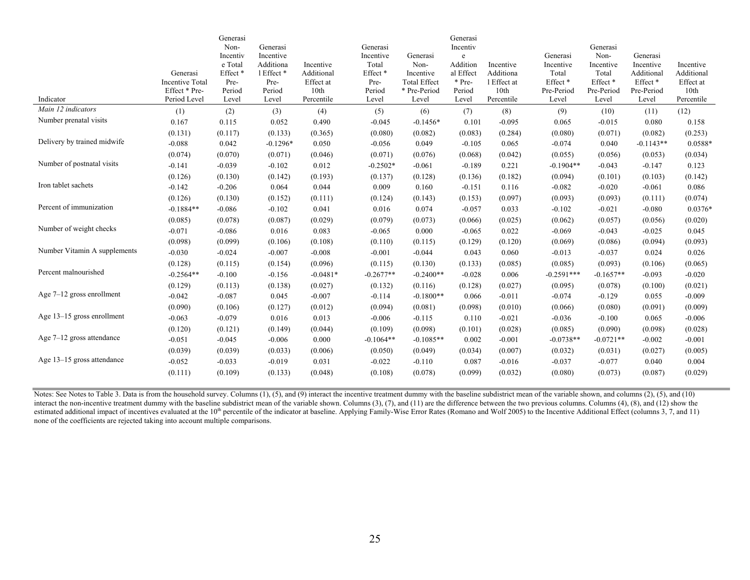|                              |                             | Generasi                    |                    |                         |                             |                                  | Generasi            |                          |                              |                              |                        |                         |
|------------------------------|-----------------------------|-----------------------------|--------------------|-------------------------|-----------------------------|----------------------------------|---------------------|--------------------------|------------------------------|------------------------------|------------------------|-------------------------|
|                              |                             | Non-                        | Generasi           |                         | Generasi                    |                                  | Incentiv            |                          |                              | Generasi                     |                        |                         |
|                              |                             | Incentiv                    | Incentive          |                         | Incentive                   | Generasi                         | e                   |                          | Generasi                     | Non-                         | Generasi               |                         |
|                              |                             | e Total                     | Additiona          | Incentive               | Total                       | Non-                             | Addition            | Incentive                | Incentive                    | Incentive                    | Incentive              | Incentive               |
|                              | Generasi<br>Incentive Total | Effect <sup>*</sup><br>Pre- | 1 Effect *<br>Pre- | Additional<br>Effect at | Effect <sup>*</sup><br>Pre- | Incentive<br><b>Total Effect</b> | al Effect<br>* Pre- | Additiona<br>1 Effect at | Total<br>Effect <sup>*</sup> | Total<br>Effect <sup>*</sup> | Additional<br>Effect * | Additional<br>Effect at |
|                              | Effect * Pre-               | Period                      | Period             | 10th                    | Period                      | * Pre-Period                     | Period              | 10th                     | Pre-Period                   | Pre-Period                   | Pre-Period             | 10th                    |
| Indicator                    | Period Level                | Level                       | Level              | Percentile              | Level                       | Level                            | Level               | Percentile               | Level                        | Level                        | Level                  | Percentile              |
| Main 12 indicators           | (1)                         | (2)                         | (3)                | (4)                     | (5)                         | (6)                              | (7)                 | (8)                      | (9)                          | (10)                         | (11)                   | (12)                    |
| Number prenatal visits       | 0.167                       | 0.115                       | 0.052              | 0.490                   | $-0.045$                    | $-0.1456*$                       | 0.101               | $-0.095$                 | 0.065                        | $-0.015$                     | 0.080                  | 0.158                   |
|                              | (0.131)                     | (0.117)                     | (0.133)            | (0.365)                 | (0.080)                     | (0.082)                          | (0.083)             | (0.284)                  | (0.080)                      | (0.071)                      | (0.082)                | (0.253)                 |
| Delivery by trained midwife  | $-0.088$                    | 0.042                       | $-0.1296*$         | 0.050                   | $-0.056$                    | 0.049                            | $-0.105$            | 0.065                    | $-0.074$                     | 0.040                        | $-0.1143**$            | 0.0588*                 |
|                              | (0.074)                     | (0.070)                     | (0.071)            | (0.046)                 | (0.071)                     | (0.076)                          | (0.068)             | (0.042)                  | (0.055)                      | (0.056)                      | (0.053)                | (0.034)                 |
| Number of postnatal visits   | $-0.141$                    | $-0.039$                    | $-0.102$           | 0.012                   | $-0.2502*$                  | $-0.061$                         | $-0.189$            | 0.221                    | $-0.1904**$                  | $-0.043$                     | $-0.147$               | 0.123                   |
|                              | (0.126)                     | (0.130)                     | (0.142)            | (0.193)                 | (0.137)                     | (0.128)                          | (0.136)             | (0.182)                  | (0.094)                      | (0.101)                      | (0.103)                | (0.142)                 |
| Iron tablet sachets          | $-0.142$                    | $-0.206$                    | 0.064              | 0.044                   | 0.009                       | 0.160                            | $-0.151$            | 0.116                    | $-0.082$                     | $-0.020$                     | $-0.061$               | 0.086                   |
|                              | (0.126)                     | (0.130)                     | (0.152)            | (0.111)                 | (0.124)                     | (0.143)                          | (0.153)             | (0.097)                  | (0.093)                      | (0.093)                      | (0.111)                | (0.074)                 |
| Percent of immunization      | $-0.1884**$                 | $-0.086$                    | $-0.102$           | 0.041                   | 0.016                       | 0.074                            | $-0.057$            | 0.033                    | $-0.102$                     | $-0.021$                     | $-0.080$               | $0.0376*$               |
|                              | (0.085)                     | (0.078)                     | (0.087)            | (0.029)                 | (0.079)                     | (0.073)                          | (0.066)             | (0.025)                  | (0.062)                      | (0.057)                      | (0.056)                | (0.020)                 |
| Number of weight checks      | $-0.071$                    | $-0.086$                    | 0.016              | 0.083                   | $-0.065$                    | 0.000                            | $-0.065$            | 0.022                    | $-0.069$                     | $-0.043$                     | $-0.025$               | 0.045                   |
|                              | (0.098)                     | (0.099)                     | (0.106)            | (0.108)                 | (0.110)                     | (0.115)                          | (0.129)             | (0.120)                  | (0.069)                      | (0.086)                      | (0.094)                | (0.093)                 |
| Number Vitamin A supplements | $-0.030$                    | $-0.024$                    | $-0.007$           | $-0.008$                | $-0.001$                    | $-0.044$                         | 0.043               | 0.060                    | $-0.013$                     | $-0.037$                     | 0.024                  | 0.026                   |
|                              | (0.128)                     | (0.115)                     | (0.154)            | (0.096)                 | (0.115)                     | (0.130)                          | (0.133)             | (0.085)                  | (0.085)                      | (0.093)                      | (0.106)                | (0.065)                 |
| Percent malnourished         | $-0.2564**$                 | $-0.100$                    | $-0.156$           | $-0.0481*$              | $-0.2677**$                 | $-0.2400**$                      | $-0.028$            | 0.006                    | $-0.2591***$                 | $-0.1657**$                  | $-0.093$               | $-0.020$                |
|                              | (0.129)                     | (0.113)                     | (0.138)            | (0.027)                 | (0.132)                     | (0.116)                          | (0.128)             | (0.027)                  | (0.095)                      | (0.078)                      | (0.100)                | (0.021)                 |
| Age $7-12$ gross enrollment  | $-0.042$                    | $-0.087$                    | 0.045              | $-0.007$                | $-0.114$                    | $-0.1800**$                      | 0.066               | $-0.011$                 | $-0.074$                     | $-0.129$                     | 0.055                  | $-0.009$                |
|                              | (0.090)                     | (0.106)                     | (0.127)            | (0.012)                 | (0.094)                     | (0.081)                          | (0.098)             | (0.010)                  | (0.066)                      | (0.080)                      | (0.091)                | (0.009)                 |
| Age 13–15 gross enrollment   | $-0.063$                    | $-0.079$                    | 0.016              | 0.013                   | $-0.006$                    | $-0.115$                         | 0.110               | $-0.021$                 | $-0.036$                     | $-0.100$                     | 0.065                  | $-0.006$                |
|                              | (0.120)                     | (0.121)                     | (0.149)            | (0.044)                 | (0.109)                     | (0.098)                          | (0.101)             | (0.028)                  | (0.085)                      | (0.090)                      | (0.098)                | (0.028)                 |
| Age $7-12$ gross attendance  | $-0.051$                    | $-0.045$                    | $-0.006$           | 0.000                   | $-0.1064**$                 | $-0.1085**$                      | 0.002               | $-0.001$                 | $-0.0738**$                  | $-0.0721**$                  | $-0.002$               | $-0.001$                |
|                              | (0.039)                     | (0.039)                     | (0.033)            | (0.006)                 | (0.050)                     | (0.049)                          | (0.034)             | (0.007)                  | (0.032)                      | (0.031)                      | (0.027)                | (0.005)                 |
| Age 13–15 gross attendance   | $-0.052$                    | $-0.033$                    | $-0.019$           | 0.031                   | $-0.022$                    | $-0.110$                         | 0.087               | $-0.016$                 | $-0.037$                     | $-0.077$                     | 0.040                  | 0.004                   |
|                              | (0.111)                     | (0.109)                     | (0.133)            | (0.048)                 | (0.108)                     | (0.078)                          | (0.099)             | (0.032)                  | (0.080)                      | (0.073)                      | (0.087)                | (0.029)                 |

Notes: See Notes to Table 3. Data is from the household survey. Columns (1), (5), and (9) interact the incentive treatment dummy with the baseline subdistrict mean of the variable shown, and columns (2), (5), and (10) interact the non-incentive treatment dummy with the baseline subdistrict mean of the variable shown. Columns (3), (7), and (11) are the difference between the two previous columns. Columns (4), (8), and (12) show the estimated additional impact of incentives evaluated at the  $10<sup>th</sup>$  percentile of the indicator at baseline. Applying Family-Wise Error Rates (Romano and Wolf 2005) to the Incentive Additional Effect (columns 3, 7, and none of the coefficients are rejected taking into account multiple comparisons.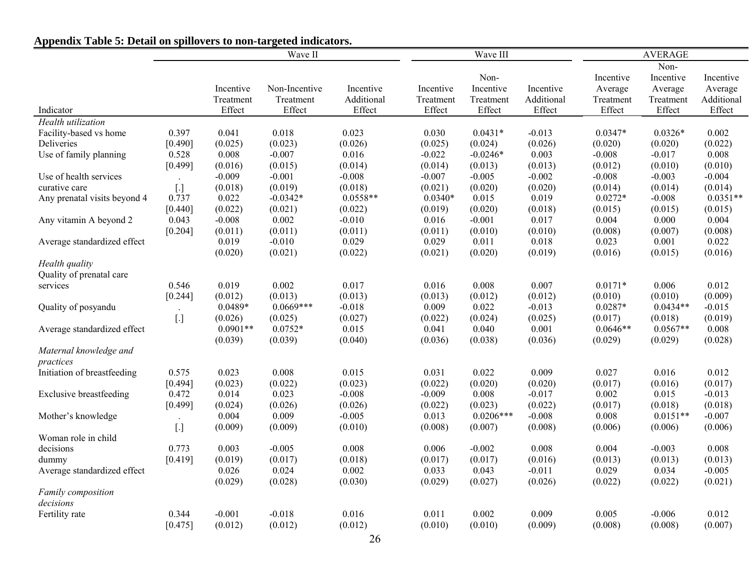|                                | Wave II              |                  |                  |                     |                     | Wave III         |                     | <b>AVERAGE</b>   |                  |                     |  |
|--------------------------------|----------------------|------------------|------------------|---------------------|---------------------|------------------|---------------------|------------------|------------------|---------------------|--|
|                                |                      |                  |                  |                     |                     |                  |                     |                  | Non-             |                     |  |
|                                |                      |                  |                  |                     |                     | Non-             |                     | Incentive        | Incentive        | Incentive           |  |
|                                |                      | Incentive        | Non-Incentive    | Incentive           | Incentive           | Incentive        | Incentive           | Average          | Average          | Average             |  |
|                                |                      | Treatment        | Treatment        | Additional          | Treatment           | Treatment        | Additional          | Treatment        | Treatment        | Additional          |  |
| Indicator                      |                      | Effect           | Effect           | Effect              | Effect              | Effect           | Effect              | Effect           | Effect           | Effect              |  |
| Health utilization             |                      |                  |                  |                     |                     |                  |                     |                  |                  |                     |  |
| Facility-based vs home         | 0.397                | 0.041            | 0.018            | 0.023               | 0.030               | $0.0431*$        | $-0.013$            | $0.0347*$        | $0.0326*$        | 0.002               |  |
| Deliveries                     | [0.490]              | (0.025)          | (0.023)          | (0.026)             | (0.025)             | (0.024)          | (0.026)             | (0.020)          | (0.020)          | (0.022)             |  |
| Use of family planning         | 0.528                | 0.008            | $-0.007$         | 0.016               | $-0.022$            | $-0.0246*$       | 0.003               | $-0.008$         | $-0.017$         | 0.008               |  |
|                                | [0.499]              | (0.016)          | (0.015)          | (0.014)             | (0.014)             | (0.013)          | (0.013)             | (0.012)          | (0.010)          | (0.010)             |  |
| Use of health services         | $\ddot{\phantom{a}}$ | $-0.009$         | $-0.001$         | $-0.008$            | $-0.007$            | $-0.005$         | $-0.002$            | $-0.008$         | $-0.003$         | $-0.004$            |  |
| curative care                  | $[.]$                | (0.018)          | (0.019)          | (0.018)             | (0.021)             | (0.020)          | (0.020)             | (0.014)          | (0.014)          | (0.014)             |  |
| Any prenatal visits beyond 4   | 0.737                | 0.022            | $-0.0342*$       | $0.0558**$          | $0.0340*$           | 0.015            | 0.019               | $0.0272*$        | $-0.008$         | $0.0351**$          |  |
|                                | [0.440]              | (0.022)          | (0.021)          | (0.022)             | (0.019)             | (0.020)          | (0.018)             | (0.015)          | (0.015)          | (0.015)             |  |
| Any vitamin A beyond 2         | 0.043                | $-0.008$         | 0.002            | $-0.010$            | 0.016               | $-0.001$         | 0.017               | 0.004            | 0.000            | 0.004               |  |
|                                | [0.204]              | (0.011)          | (0.011)          | (0.011)             | (0.011)             | (0.010)          | (0.010)             | (0.008)          | (0.007)          | (0.008)             |  |
| Average standardized effect    |                      | 0.019            | $-0.010$         | 0.029               | 0.029               | 0.011            | 0.018               | 0.023            | 0.001            | 0.022               |  |
|                                |                      | (0.020)          | (0.021)          | (0.022)             | (0.021)             | (0.020)          | (0.019)             | (0.016)          | (0.015)          | (0.016)             |  |
| Health quality                 |                      |                  |                  |                     |                     |                  |                     |                  |                  |                     |  |
| Quality of prenatal care       |                      |                  |                  |                     |                     |                  |                     |                  |                  |                     |  |
| services                       | 0.546                | 0.019            | 0.002            | 0.017               | 0.016               | 0.008            | 0.007               | $0.0171*$        | 0.006            | 0.012               |  |
|                                | $[0.244]$            | (0.012)          | (0.013)          | (0.013)             | (0.013)             | (0.012)          | (0.012)             | (0.010)          | (0.010)          | (0.009)             |  |
| Quality of posyandu            |                      | $0.0489*$        | $0.0669***$      | $-0.018$            | 0.009               | 0.022            | $-0.013$            | $0.0287*$        | $0.0434**$       | $-0.015$            |  |
|                                | $[.]$                | (0.026)          | (0.025)          | (0.027)             | (0.022)             | (0.024)          | (0.025)             | (0.017)          | (0.018)          | (0.019)             |  |
| Average standardized effect    |                      | $0.0901**$       | $0.0752*$        | 0.015               | 0.041               | 0.040            | 0.001               | $0.0646**$       | $0.0567**$       | 0.008               |  |
|                                |                      | (0.039)          | (0.039)          | (0.040)             | (0.036)             | (0.038)          | (0.036)             | (0.029)          | (0.029)          | (0.028)             |  |
| Maternal knowledge and         |                      |                  |                  |                     |                     |                  |                     |                  |                  |                     |  |
| practices                      |                      |                  |                  |                     |                     |                  |                     |                  |                  |                     |  |
| Initiation of breastfeeding    | 0.575                | 0.023            | 0.008            | 0.015               | 0.031               | 0.022            | 0.009               | 0.027            | 0.016            | 0.012               |  |
| <b>Exclusive breastfeeding</b> | [0.494]<br>0.472     | (0.023)<br>0.014 | (0.022)<br>0.023 | (0.023)<br>$-0.008$ | (0.022)<br>$-0.009$ | (0.020)<br>0.008 | (0.020)<br>$-0.017$ | (0.017)<br>0.002 | (0.016)<br>0.015 | (0.017)<br>$-0.013$ |  |
|                                | [0.499]              | (0.024)          | (0.026)          | (0.026)             | (0.022)             | (0.023)          | (0.022)             | (0.017)          | (0.018)          | (0.018)             |  |
| Mother's knowledge             |                      | 0.004            | 0.009            | $-0.005$            | 0.013               | $0.0206***$      | $-0.008$            | 0.008            | $0.0151**$       | $-0.007$            |  |
|                                | $[.]$                | (0.009)          | (0.009)          | (0.010)             | (0.008)             | (0.007)          | (0.008)             | (0.006)          | (0.006)          | (0.006)             |  |
| Woman role in child            |                      |                  |                  |                     |                     |                  |                     |                  |                  |                     |  |
| decisions                      | 0.773                | 0.003            | $-0.005$         | 0.008               | 0.006               | $-0.002$         | 0.008               | 0.004            | $-0.003$         | 0.008               |  |
| dummy                          | [0.419]              | (0.019)          | (0.017)          | (0.018)             | (0.017)             | (0.017)          | (0.016)             | (0.013)          | (0.013)          | (0.013)             |  |
| Average standardized effect    |                      | 0.026            | 0.024            | 0.002               | 0.033               | 0.043            | $-0.011$            | 0.029            | 0.034            | $-0.005$            |  |
|                                |                      | (0.029)          | (0.028)          | (0.030)             | (0.029)             | (0.027)          | (0.026)             | (0.022)          | (0.022)          | (0.021)             |  |
| Family composition             |                      |                  |                  |                     |                     |                  |                     |                  |                  |                     |  |
| decisions                      |                      |                  |                  |                     |                     |                  |                     |                  |                  |                     |  |
| Fertility rate                 | 0.344                | $-0.001$         | $-0.018$         | 0.016               | 0.011               | 0.002            | 0.009               | 0.005            | $-0.006$         | 0.012               |  |
|                                | [0.475]              | (0.012)          | (0.012)          | (0.012)             | (0.010)             | (0.010)          | (0.009)             | (0.008)          | (0.008)          | (0.007)             |  |

# **Appendix Table 5: Detail on spillovers to non-targeted indicators.**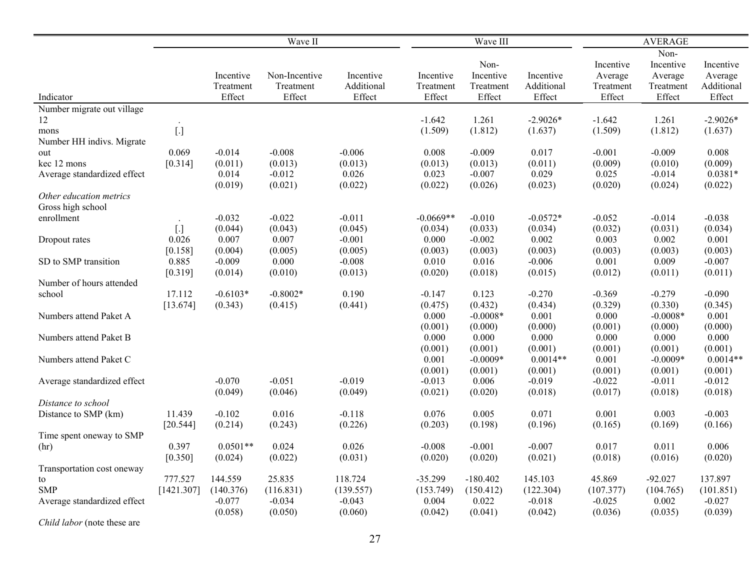|                             | Wave II    |            |               |            |             | Wave III   |            |           | <b>AVERAGE</b> |            |  |  |
|-----------------------------|------------|------------|---------------|------------|-------------|------------|------------|-----------|----------------|------------|--|--|
|                             |            |            |               |            |             |            |            |           | Non-           |            |  |  |
|                             |            |            |               |            |             | Non-       |            | Incentive | Incentive      | Incentive  |  |  |
|                             |            | Incentive  | Non-Incentive | Incentive  | Incentive   | Incentive  | Incentive  | Average   | Average        | Average    |  |  |
|                             |            | Treatment  | Treatment     | Additional | Treatment   | Treatment  | Additional | Treatment | Treatment      | Additional |  |  |
| Indicator                   |            | Effect     | Effect        | Effect     | Effect      | Effect     | Effect     | Effect    | Effect         | Effect     |  |  |
| Number migrate out village  |            |            |               |            |             |            |            |           |                |            |  |  |
| 12                          |            |            |               |            | $-1.642$    | 1.261      | $-2.9026*$ | $-1.642$  | 1.261          | $-2.9026*$ |  |  |
| mons                        | $[.]$      |            |               |            | (1.509)     | (1.812)    | (1.637)    | (1.509)   | (1.812)        | (1.637)    |  |  |
| Number HH indivs. Migrate   |            |            |               |            |             |            |            |           |                |            |  |  |
| out                         | 0.069      | $-0.014$   | $-0.008$      | $-0.006$   | 0.008       | $-0.009$   | 0.017      | $-0.001$  | $-0.009$       | 0.008      |  |  |
| kec 12 mons                 | [0.314]    | (0.011)    | (0.013)       | (0.013)    | (0.013)     | (0.013)    | (0.011)    | (0.009)   | (0.010)        | (0.009)    |  |  |
| Average standardized effect |            | 0.014      | $-0.012$      | 0.026      | 0.023       | $-0.007$   | 0.029      | 0.025     | $-0.014$       | $0.0381*$  |  |  |
|                             |            | (0.019)    | (0.021)       | (0.022)    | (0.022)     | (0.026)    | (0.023)    | (0.020)   | (0.024)        | (0.022)    |  |  |
| Other education metrics     |            |            |               |            |             |            |            |           |                |            |  |  |
| Gross high school           |            |            |               |            |             |            |            |           |                |            |  |  |
| enrollment                  |            | $-0.032$   | $-0.022$      | $-0.011$   | $-0.0669**$ | $-0.010$   | $-0.0572*$ | $-0.052$  | $-0.014$       | $-0.038$   |  |  |
|                             | $[.]$      | (0.044)    | (0.043)       | (0.045)    | (0.034)     | (0.033)    | (0.034)    | (0.032)   | (0.031)        | (0.034)    |  |  |
| Dropout rates               | 0.026      | 0.007      | 0.007         | $-0.001$   | 0.000       | $-0.002$   | 0.002      | 0.003     | 0.002          | 0.001      |  |  |
|                             | [0.158]    | (0.004)    | (0.005)       | (0.005)    | (0.003)     | (0.003)    | (0.003)    | (0.003)   | (0.003)        | (0.003)    |  |  |
| SD to SMP transition        | 0.885      | $-0.009$   | 0.000         | $-0.008$   | 0.010       | 0.016      | $-0.006$   | 0.001     | 0.009          | $-0.007$   |  |  |
| Number of hours attended    | [0.319]    | (0.014)    | (0.010)       | (0.013)    | (0.020)     | (0.018)    | (0.015)    | (0.012)   | (0.011)        | (0.011)    |  |  |
| school                      | 17.112     | $-0.6103*$ | $-0.8002*$    | 0.190      | $-0.147$    | 0.123      | $-0.270$   | $-0.369$  | $-0.279$       | $-0.090$   |  |  |
|                             | [13.674]   | (0.343)    | (0.415)       | (0.441)    | (0.475)     | (0.432)    | (0.434)    | (0.329)   | (0.330)        | (0.345)    |  |  |
| Numbers attend Paket A      |            |            |               |            | 0.000       | $-0.0008*$ | 0.001      | 0.000     | $-0.0008*$     | 0.001      |  |  |
|                             |            |            |               |            | (0.001)     | (0.000)    | (0.000)    | (0.001)   | (0.000)        | (0.000)    |  |  |
| Numbers attend Paket B      |            |            |               |            | 0.000       | 0.000      | 0.000      | 0.000     | 0.000          | 0.000      |  |  |
|                             |            |            |               |            | (0.001)     | (0.001)    | (0.001)    | (0.001)   | (0.001)        | (0.001)    |  |  |
| Numbers attend Paket C      |            |            |               |            | 0.001       | $-0.0009*$ | $0.0014**$ | 0.001     | $-0.0009*$     | $0.0014**$ |  |  |
|                             |            |            |               |            | (0.001)     | (0.001)    | (0.001)    | (0.001)   | (0.001)        | (0.001)    |  |  |
| Average standardized effect |            | $-0.070$   | $-0.051$      | $-0.019$   | $-0.013$    | 0.006      | $-0.019$   | $-0.022$  | $-0.011$       | $-0.012$   |  |  |
|                             |            | (0.049)    | (0.046)       | (0.049)    | (0.021)     | (0.020)    | (0.018)    | (0.017)   | (0.018)        | (0.018)    |  |  |
| Distance to school          |            |            |               |            |             |            |            |           |                |            |  |  |
| Distance to SMP (km)        | 11.439     | $-0.102$   | 0.016         | $-0.118$   | 0.076       | 0.005      | 0.071      | 0.001     | 0.003          | $-0.003$   |  |  |
|                             | [20.544]   | (0.214)    | (0.243)       | (0.226)    | (0.203)     | (0.198)    | (0.196)    | (0.165)   | (0.169)        | (0.166)    |  |  |
| Time spent oneway to SMP    |            |            |               |            |             |            |            |           |                |            |  |  |
| (hr)                        | 0.397      | $0.0501**$ | 0.024         | 0.026      | $-0.008$    | $-0.001$   | $-0.007$   | 0.017     | 0.011          | 0.006      |  |  |
|                             | [0.350]    | (0.024)    | (0.022)       | (0.031)    | (0.020)     | (0.020)    | (0.021)    | (0.018)   | (0.016)        | (0.020)    |  |  |
| Transportation cost oneway  |            |            |               |            |             |            |            |           |                |            |  |  |
| to                          | 777.527    | 144.559    | 25.835        | 118.724    | $-35.299$   | $-180.402$ | 145.103    | 45.869    | $-92.027$      | 137.897    |  |  |
| <b>SMP</b>                  | [1421.307] | (140.376)  | (116.831)     | (139.557)  | (153.749)   | (150.412)  | (122.304)  | (107.377) | (104.765)      | (101.851)  |  |  |
| Average standardized effect |            | $-0.077$   | $-0.034$      | $-0.043$   | 0.004       | 0.022      | $-0.018$   | $-0.025$  | 0.002          | $-0.027$   |  |  |
|                             |            | (0.058)    | (0.050)       | (0.060)    | (0.042)     | (0.041)    | (0.042)    | (0.036)   | (0.035)        | (0.039)    |  |  |
| $C1.111.1$ ( $$ + $1$       |            |            |               |            |             |            |            |           |                |            |  |  |

*Child labor* (note these are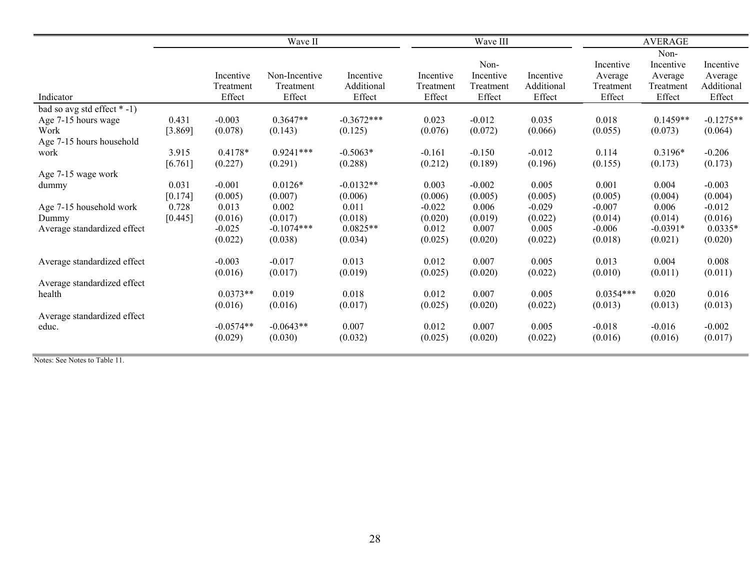|                                                                                               |                               |                                         | Wave II                                     |                                           |                                         | Wave III                                 |                                         | <b>AVERAGE</b>                              |                                                     |                                              |  |
|-----------------------------------------------------------------------------------------------|-------------------------------|-----------------------------------------|---------------------------------------------|-------------------------------------------|-----------------------------------------|------------------------------------------|-----------------------------------------|---------------------------------------------|-----------------------------------------------------|----------------------------------------------|--|
| Indicator                                                                                     |                               | Incentive<br>Treatment<br>Effect        | Non-Incentive<br>Treatment<br>Effect        | Incentive<br>Additional<br>Effect         | Incentive<br>Treatment<br>Effect        | Non-<br>Incentive<br>Treatment<br>Effect | Incentive<br>Additional<br>Effect       | Incentive<br>Average<br>Treatment<br>Effect | Non-<br>Incentive<br>Average<br>Treatment<br>Effect | Incentive<br>Average<br>Additional<br>Effect |  |
| bad so avg std effect *-1)<br>Age 7-15 hours wage<br>Work<br>Age 7-15 hours household<br>work | 0.431<br>[3.869]<br>3.915     | $-0.003$<br>(0.078)<br>0.4178*          | $0.3647**$<br>(0.143)<br>$0.9241***$        | $-0.3672***$<br>(0.125)<br>$-0.5063*$     | 0.023<br>(0.076)<br>$-0.161$            | $-0.012$<br>(0.072)<br>$-0.150$          | 0.035<br>(0.066)<br>$-0.012$            | 0.018<br>(0.055)<br>0.114                   | $0.1459**$<br>(0.073)<br>0.3196*                    | $-0.1275**$<br>(0.064)<br>$-0.206$           |  |
| Age 7-15 wage work<br>dummy                                                                   | [6.761]<br>0.031              | (0.227)<br>$-0.001$                     | (0.291)<br>$0.0126*$                        | (0.288)<br>$-0.0132**$                    | (0.212)<br>0.003                        | (0.189)<br>$-0.002$                      | (0.196)<br>0.005                        | (0.155)<br>0.001                            | (0.173)<br>0.004                                    | (0.173)<br>$-0.003$                          |  |
| Age 7-15 household work<br>Dummy<br>Average standardized effect                               | [0.174]<br>0.728<br>$[0.445]$ | (0.005)<br>0.013<br>(0.016)<br>$-0.025$ | (0.007)<br>0.002<br>(0.017)<br>$-0.1074***$ | (0.006)<br>0.011<br>(0.018)<br>$0.0825**$ | (0.006)<br>$-0.022$<br>(0.020)<br>0.012 | (0.005)<br>0.006<br>(0.019)<br>0.007     | (0.005)<br>$-0.029$<br>(0.022)<br>0.005 | (0.005)<br>$-0.007$<br>(0.014)<br>$-0.006$  | (0.004)<br>0.006<br>(0.014)<br>$-0.0391*$           | (0.004)<br>$-0.012$<br>(0.016)<br>$0.0335*$  |  |
| Average standardized effect                                                                   |                               | (0.022)<br>$-0.003$<br>(0.016)          | (0.038)<br>$-0.017$<br>(0.017)              | (0.034)<br>0.013<br>(0.019)               | (0.025)<br>0.012<br>(0.025)             | (0.020)<br>0.007<br>(0.020)              | (0.022)<br>0.005<br>(0.022)             | (0.018)<br>0.013<br>(0.010)                 | (0.021)<br>0.004<br>(0.011)                         | (0.020)<br>0.008<br>(0.011)                  |  |
| Average standardized effect<br>health                                                         |                               | $0.0373**$<br>(0.016)                   | 0.019<br>(0.016)                            | 0.018<br>(0.017)                          | 0.012<br>(0.025)                        | 0.007<br>(0.020)                         | 0.005<br>(0.022)                        | $0.0354***$<br>(0.013)                      | 0.020<br>(0.013)                                    | 0.016<br>(0.013)                             |  |
| Average standardized effect<br>educ.                                                          |                               | $-0.0574**$<br>(0.029)                  | $-0.0643**$<br>(0.030)                      | 0.007<br>(0.032)                          | 0.012<br>(0.025)                        | 0.007<br>(0.020)                         | 0.005<br>(0.022)                        | $-0.018$<br>(0.016)                         | $-0.016$<br>(0.016)                                 | $-0.002$<br>(0.017)                          |  |

Notes: See Notes to Table 11.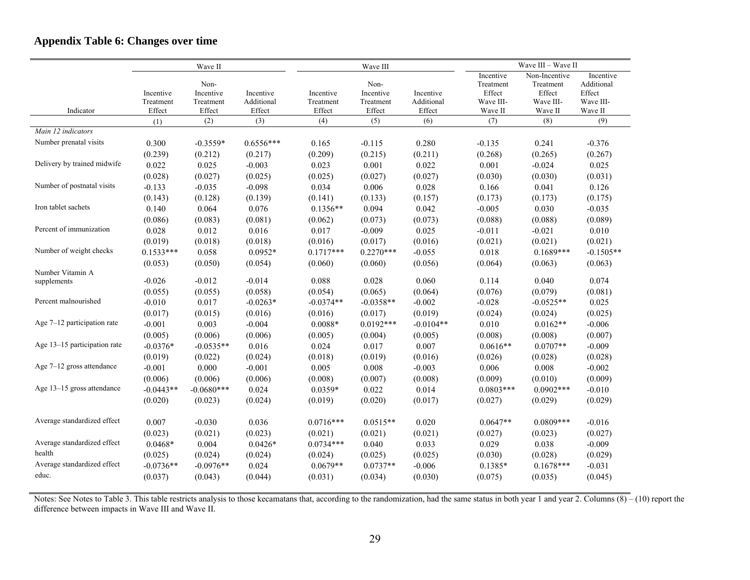|                               |                                  | Wave II                                  |                                   |                                  | Wave III                                 |                                   | Wave III - Wave II                                       |                                                              |                                                           |  |
|-------------------------------|----------------------------------|------------------------------------------|-----------------------------------|----------------------------------|------------------------------------------|-----------------------------------|----------------------------------------------------------|--------------------------------------------------------------|-----------------------------------------------------------|--|
| Indicator                     | Incentive<br>Treatment<br>Effect | Non-<br>Incentive<br>Treatment<br>Effect | Incentive<br>Additional<br>Effect | Incentive<br>Treatment<br>Effect | Non-<br>Incentive<br>Treatment<br>Effect | Incentive<br>Additional<br>Effect | Incentive<br>Treatment<br>Effect<br>Wave III-<br>Wave II | Non-Incentive<br>Treatment<br>Effect<br>Wave III-<br>Wave II | Incentive<br>Additional<br>Effect<br>Wave III-<br>Wave II |  |
|                               | (1)                              | (2)                                      | (3)                               | (4)                              | (5)                                      | (6)                               | (7)                                                      | (8)                                                          | (9)                                                       |  |
| Main 12 indicators            |                                  |                                          |                                   |                                  |                                          |                                   |                                                          |                                                              |                                                           |  |
| Number prenatal visits        | 0.300                            | $-0.3559*$                               | $0.6556***$                       | 0.165                            | $-0.115$                                 | 0.280                             | $-0.135$                                                 | 0.241                                                        | $-0.376$                                                  |  |
|                               | (0.239)                          | (0.212)                                  | (0.217)                           | (0.209)                          | (0.215)                                  | (0.211)                           | (0.268)                                                  | (0.265)                                                      | (0.267)                                                   |  |
| Delivery by trained midwife   | 0.022                            | 0.025                                    | $-0.003$                          | 0.023                            | 0.001                                    | 0.022                             | 0.001                                                    | $-0.024$                                                     | 0.025                                                     |  |
|                               | (0.028)                          | (0.027)                                  | (0.025)                           | (0.025)                          | (0.027)                                  | (0.027)                           | (0.030)                                                  | (0.030)                                                      | (0.031)                                                   |  |
| Number of postnatal visits    | $-0.133$                         | $-0.035$                                 | $-0.098$                          | 0.034                            | 0.006                                    | 0.028                             | 0.166                                                    | 0.041                                                        | 0.126                                                     |  |
|                               | (0.143)                          | (0.128)                                  | (0.139)                           | (0.141)                          | (0.133)                                  | (0.157)                           | (0.173)                                                  | (0.173)                                                      | (0.175)                                                   |  |
| Iron tablet sachets           | 0.140                            | 0.064                                    | 0.076                             | $0.1356**$                       | 0.094                                    | 0.042                             | $-0.005$                                                 | 0.030                                                        | $-0.035$                                                  |  |
|                               | (0.086)                          | (0.083)                                  | (0.081)                           | (0.062)                          | (0.073)                                  | (0.073)                           | (0.088)                                                  | (0.088)                                                      | (0.089)                                                   |  |
| Percent of immunization       | 0.028                            | 0.012                                    | 0.016                             | 0.017                            | $-0.009$                                 | 0.025                             | $-0.011$                                                 | $-0.021$                                                     | 0.010                                                     |  |
|                               | (0.019)                          | (0.018)                                  | (0.018)                           | (0.016)                          | (0.017)                                  | (0.016)                           | (0.021)                                                  | (0.021)                                                      | (0.021)                                                   |  |
| Number of weight checks       | $0.1533***$                      | 0.058                                    | $0.0952*$                         | $0.1717***$                      | $0.2270***$                              | $-0.055$                          | 0.018                                                    | $0.1689***$                                                  | $-0.1505**$                                               |  |
|                               | (0.053)                          | (0.050)                                  | (0.054)                           | (0.060)                          | (0.060)                                  | (0.056)                           | (0.064)                                                  | (0.063)                                                      | (0.063)                                                   |  |
| Number Vitamin A              |                                  |                                          |                                   |                                  |                                          |                                   |                                                          |                                                              |                                                           |  |
| supplements                   | $-0.026$                         | $-0.012$                                 | $-0.014$                          | 0.088                            | 0.028                                    | 0.060                             | 0.114                                                    | 0.040                                                        | 0.074                                                     |  |
| Percent malnourished          | (0.055)                          | (0.055)<br>0.017                         | (0.058)<br>$-0.0263*$             | (0.054)<br>$-0.0374**$           | (0.065)                                  | (0.064)                           | (0.076)                                                  | (0.079)                                                      | (0.081)                                                   |  |
|                               | $-0.010$                         |                                          |                                   |                                  | $-0.0358**$                              | $-0.002$                          | $-0.028$                                                 | $-0.0525**$                                                  | 0.025                                                     |  |
| Age $7-12$ participation rate | (0.017)                          | (0.015)                                  | (0.016)                           | (0.016)                          | (0.017)                                  | (0.019)                           | (0.024)                                                  | (0.024)                                                      | (0.025)                                                   |  |
|                               | $-0.001$<br>(0.005)              | 0.003<br>(0.006)                         | $-0.004$                          | $0.0088*$                        | $0.0192***$                              | $-0.0104**$                       | 0.010<br>(0.008)                                         | $0.0162**$                                                   | $-0.006$                                                  |  |
| Age 13-15 participation rate  | $-0.0376*$                       | $-0.0535**$                              | (0.006)                           | (0.005)<br>0.024                 | (0.004)                                  | (0.005)<br>0.007                  | $0.0616**$                                               | (0.008)<br>$0.0707**$                                        | (0.007)                                                   |  |
|                               |                                  |                                          | 0.016                             |                                  | 0.017                                    |                                   |                                                          |                                                              | $-0.009$                                                  |  |
| Age $7-12$ gross attendance   | (0.019)<br>$-0.001$              | (0.022)<br>0.000                         | (0.024)                           | (0.018)                          | (0.019)                                  | (0.016)                           | (0.026)                                                  | (0.028)                                                      | (0.028)                                                   |  |
|                               |                                  |                                          | $-0.001$                          | 0.005                            | 0.008                                    | $-0.003$                          | 0.006                                                    | 0.008                                                        | $-0.002$                                                  |  |
| Age 13–15 gross attendance    | (0.006)                          | (0.006)                                  | (0.006)                           | (0.008)                          | (0.007)                                  | (0.008)                           | (0.009)                                                  | (0.010)                                                      | (0.009)                                                   |  |
|                               | $-0.0443**$                      | $-0.0680***$                             | 0.024                             | $0.0359*$                        | 0.022                                    | 0.014                             | $0.0803***$                                              | $0.0902***$                                                  | $-0.010$                                                  |  |
|                               | (0.020)                          | (0.023)                                  | (0.024)                           | (0.019)                          | (0.020)                                  | (0.017)                           | (0.027)                                                  | (0.029)                                                      | (0.029)                                                   |  |
| Average standardized effect   | 0.007                            | $-0.030$                                 | 0.036                             | $0.0716***$                      | $0.0515**$                               | 0.020                             | $0.0647**$                                               | $0.0809***$                                                  | $-0.016$                                                  |  |
|                               | (0.023)                          | (0.021)                                  | (0.023)                           | (0.021)                          | (0.021)                                  | (0.021)                           | (0.027)                                                  | (0.023)                                                      | (0.027)                                                   |  |
| Average standardized effect   | $0.0468*$                        | 0.004                                    | $0.0426*$                         | $0.0734***$                      | 0.040                                    | 0.033                             | 0.029                                                    | 0.038                                                        | $-0.009$                                                  |  |
| health                        | (0.025)                          | (0.024)                                  | (0.024)                           | (0.024)                          | (0.025)                                  | (0.025)                           | (0.030)                                                  | (0.028)                                                      | (0.029)                                                   |  |
| Average standardized effect   | $-0.0736**$                      | $-0.0976**$                              | 0.024                             | $0.0679**$                       | $0.0737**$                               | $-0.006$                          | $0.1385*$                                                | $0.1678***$                                                  | $-0.031$                                                  |  |
| educ.                         | (0.037)                          | (0.043)                                  | (0.044)                           | (0.031)                          | (0.034)                                  | (0.030)                           | (0.075)                                                  | (0.035)                                                      | (0.045)                                                   |  |
|                               |                                  |                                          |                                   |                                  |                                          |                                   |                                                          |                                                              |                                                           |  |

# **Appendix Table 6: Changes over time**

Notes: See Notes to Table 3. This table restricts analysis to those kecamatans that, according to the randomization, had the same status in both year 1 and year 2. Columns  $(8) - (10)$  report the difference between impacts in Wave III and Wave II.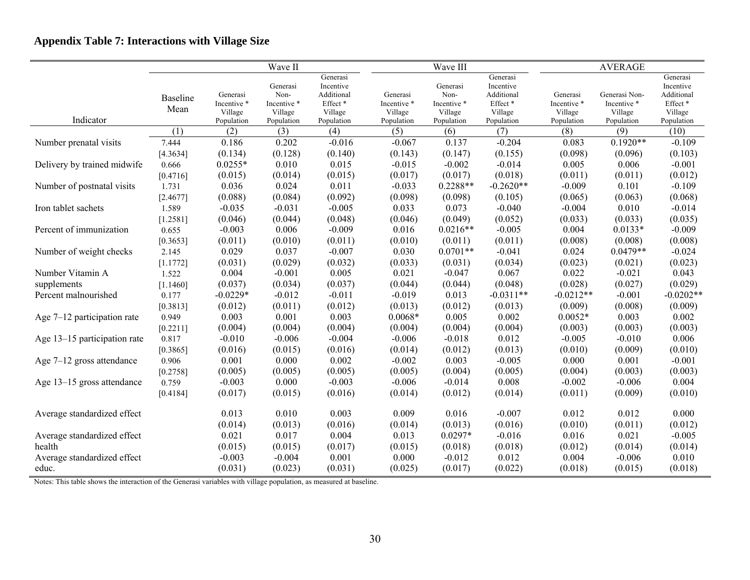# **Appendix Table 7: Interactions with Village Size**

|                               |                         |                                                  | Wave II                                                  |                                                                         |                                                  | Wave III                                                 |                                                                                   |                                                  | <b>AVERAGE</b>                                        |                                                                         |
|-------------------------------|-------------------------|--------------------------------------------------|----------------------------------------------------------|-------------------------------------------------------------------------|--------------------------------------------------|----------------------------------------------------------|-----------------------------------------------------------------------------------|--------------------------------------------------|-------------------------------------------------------|-------------------------------------------------------------------------|
| Indicator                     | <b>Baseline</b><br>Mean | Generasi<br>Incentive *<br>Village<br>Population | Generasi<br>Non-<br>Incentive *<br>Village<br>Population | Generasi<br>Incentive<br>Additional<br>Effect*<br>Village<br>Population | Generasi<br>Incentive *<br>Village<br>Population | Generasi<br>Non-<br>Incentive *<br>Village<br>Population | Generasi<br>Incentive<br>Additional<br>$\rm Effect$ $^*$<br>Village<br>Population | Generasi<br>Incentive *<br>Village<br>Population | Generasi Non-<br>Incentive *<br>Village<br>Population | Generasi<br>Incentive<br>Additional<br>Effect*<br>Village<br>Population |
|                               | (1)                     | (2)                                              | (3)                                                      | (4)                                                                     | (5)                                              | (6)                                                      | (7)                                                                               | (8)                                              | (9)                                                   | (10)                                                                    |
| Number prenatal visits        | 7.444                   | 0.186                                            | 0.202                                                    | $-0.016$                                                                | $-0.067$                                         | 0.137                                                    | $-0.204$                                                                          | 0.083                                            | $0.1920**$                                            | $-0.109$                                                                |
|                               | [4.3634]                | (0.134)                                          | (0.128)                                                  | (0.140)                                                                 | (0.143)                                          | (0.147)                                                  | (0.155)                                                                           | (0.098)                                          | (0.096)                                               | (0.103)                                                                 |
| Delivery by trained midwife   | 0.666                   | $0.0255*$                                        | 0.010                                                    | 0.015                                                                   | $-0.015$                                         | $-0.002$                                                 | $-0.014$                                                                          | 0.005                                            | 0.006                                                 | $-0.001$                                                                |
|                               | [0.4716]                | (0.015)                                          | (0.014)                                                  | (0.015)                                                                 | (0.017)                                          | (0.017)                                                  | (0.018)                                                                           | (0.011)                                          | (0.011)                                               | (0.012)                                                                 |
| Number of postnatal visits    | 1.731                   | 0.036                                            | 0.024                                                    | 0.011                                                                   | $-0.033$                                         | $0.2288**$                                               | $-0.2620**$                                                                       | $-0.009$                                         | 0.101                                                 | $-0.109$                                                                |
|                               | [2.4677]                | (0.088)                                          | (0.084)                                                  | (0.092)                                                                 | (0.098)                                          | (0.098)                                                  | (0.105)                                                                           | (0.065)                                          | (0.063)                                               | (0.068)                                                                 |
| Iron tablet sachets           | 1.589                   | $-0.035$                                         | $-0.031$                                                 | $-0.005$                                                                | 0.033                                            | 0.073                                                    | $-0.040$                                                                          | $-0.004$                                         | 0.010                                                 | $-0.014$                                                                |
|                               | [1.2581]                | (0.046)                                          | (0.044)                                                  | (0.048)                                                                 | (0.046)                                          | (0.049)                                                  | (0.052)                                                                           | (0.033)                                          | (0.033)                                               | (0.035)                                                                 |
| Percent of immunization       | 0.655                   | $-0.003$                                         | 0.006                                                    | $-0.009$                                                                | 0.016                                            | $0.0216**$                                               | $-0.005$                                                                          | 0.004                                            | $0.0133*$                                             | $-0.009$                                                                |
|                               | [0.3653]                | (0.011)                                          | (0.010)                                                  | (0.011)                                                                 | (0.010)                                          | (0.011)                                                  | (0.011)                                                                           | (0.008)                                          | (0.008)                                               | (0.008)                                                                 |
| Number of weight checks       | 2.145                   | 0.029                                            | 0.037                                                    | $-0.007$                                                                | 0.030                                            | $0.0701**$                                               | $-0.041$                                                                          | 0.024                                            | $0.0479**$                                            | $-0.024$                                                                |
|                               | [1.1772]                | (0.031)                                          | (0.029)                                                  | (0.032)                                                                 | (0.033)                                          | (0.031)                                                  | (0.034)                                                                           | (0.023)                                          | (0.021)                                               | (0.023)                                                                 |
| Number Vitamin A              | 1.522                   | 0.004                                            | $-0.001$                                                 | 0.005                                                                   | 0.021                                            | $-0.047$                                                 | 0.067                                                                             | 0.022                                            | $-0.021$                                              | 0.043                                                                   |
| supplements                   | [1.1460]                | (0.037)                                          | (0.034)                                                  | (0.037)                                                                 | (0.044)                                          | (0.044)                                                  | (0.048)                                                                           | (0.028)                                          | (0.027)                                               | (0.029)                                                                 |
| Percent malnourished          | 0.177                   | $-0.0229*$                                       | $-0.012$                                                 | $-0.011$                                                                | $-0.019$                                         | 0.013                                                    | $-0.0311**$                                                                       | $-0.0212**$                                      | $-0.001$                                              | $-0.0202**$                                                             |
|                               | [0.3813]                | (0.012)                                          | (0.011)                                                  | (0.012)                                                                 | (0.013)                                          | (0.012)                                                  | (0.013)                                                                           | (0.009)                                          | (0.008)                                               | (0.009)                                                                 |
| Age $7-12$ participation rate | 0.949                   | 0.003                                            | 0.001                                                    | 0.003                                                                   | $0.0068*$                                        | 0.005                                                    | 0.002                                                                             | $0.0052*$                                        | 0.003                                                 | 0.002                                                                   |
|                               | [0.2211]                | (0.004)                                          | (0.004)                                                  | (0.004)                                                                 | (0.004)                                          | (0.004)                                                  | (0.004)                                                                           | (0.003)                                          | (0.003)                                               | (0.003)                                                                 |
| Age 13-15 participation rate  | 0.817                   | $-0.010$                                         | $-0.006$                                                 | $-0.004$                                                                | $-0.006$                                         | $-0.018$                                                 | 0.012                                                                             | $-0.005$                                         | $-0.010$                                              | 0.006                                                                   |
|                               | [0.3865]                | (0.016)                                          | (0.015)                                                  | (0.016)                                                                 | (0.014)                                          | (0.012)                                                  | (0.013)                                                                           | (0.010)                                          | (0.009)                                               | (0.010)                                                                 |
| Age $7-12$ gross attendance   | 0.906                   | 0.001                                            | 0.000                                                    | 0.002                                                                   | $-0.002$                                         | 0.003                                                    | $-0.005$                                                                          | 0.000                                            | 0.001                                                 | $-0.001$                                                                |
|                               | [0.2758]                | (0.005)                                          | (0.005)                                                  | (0.005)                                                                 | (0.005)                                          | (0.004)                                                  | (0.005)                                                                           | (0.004)                                          | (0.003)                                               | (0.003)                                                                 |
| Age 13-15 gross attendance    | 0.759                   | $-0.003$                                         | 0.000                                                    | $-0.003$                                                                | $-0.006$                                         | $-0.014$                                                 | 0.008                                                                             | $-0.002$                                         | $-0.006$                                              | 0.004                                                                   |
|                               | [0.4184]                | (0.017)                                          | (0.015)                                                  | (0.016)                                                                 | (0.014)                                          | (0.012)                                                  | (0.014)                                                                           | (0.011)                                          | (0.009)                                               | (0.010)                                                                 |
| Average standardized effect   |                         | 0.013                                            | 0.010                                                    | 0.003                                                                   | 0.009                                            | 0.016                                                    | $-0.007$                                                                          | 0.012                                            | 0.012                                                 | 0.000                                                                   |
|                               |                         | (0.014)                                          | (0.013)                                                  | (0.016)                                                                 | (0.014)                                          | (0.013)                                                  | (0.016)                                                                           | (0.010)                                          | (0.011)                                               | (0.012)                                                                 |
| Average standardized effect   |                         | 0.021                                            | 0.017                                                    | 0.004                                                                   | 0.013                                            | $0.0297*$                                                | $-0.016$                                                                          | 0.016                                            | 0.021                                                 | $-0.005$                                                                |
| health                        |                         | (0.015)                                          | (0.015)                                                  | (0.017)                                                                 | (0.015)                                          | (0.018)                                                  | (0.018)                                                                           | (0.012)                                          | (0.014)                                               | (0.014)                                                                 |
| Average standardized effect   |                         | $-0.003$                                         | $-0.004$                                                 | 0.001                                                                   | 0.000                                            | $-0.012$                                                 | 0.012                                                                             | 0.004                                            | $-0.006$                                              | 0.010                                                                   |
| educ.                         |                         | (0.031)                                          | (0.023)                                                  | (0.031)                                                                 | (0.025)                                          | (0.017)                                                  | (0.022)                                                                           | (0.018)                                          | (0.015)                                               | (0.018)                                                                 |

Notes: This table shows the interaction of the Generasi variables with village population, as measured at baseline.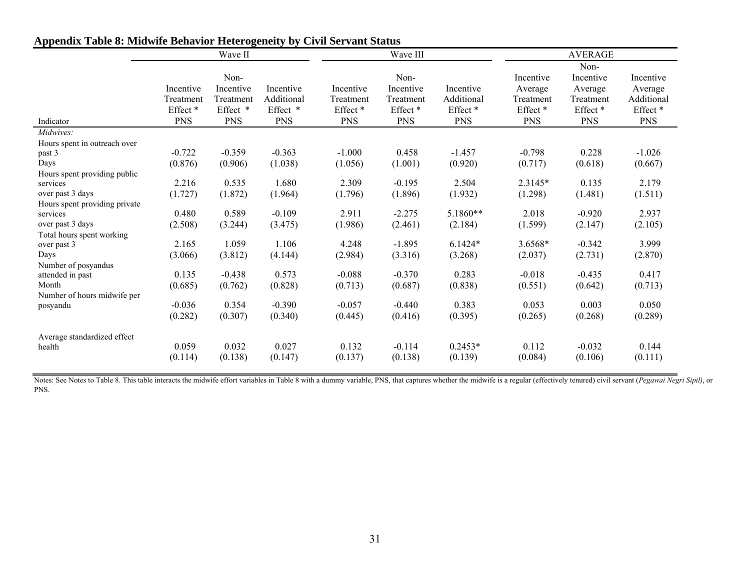|                               | Wave II             |            |            |                     | Wave III            |            | <b>AVERAGE</b>      |                     |                     |  |
|-------------------------------|---------------------|------------|------------|---------------------|---------------------|------------|---------------------|---------------------|---------------------|--|
|                               |                     | Non-       |            |                     | Non-                |            | Incentive           | Non-<br>Incentive   | Incentive           |  |
|                               | Incentive           | Incentive  | Incentive  | Incentive           | Incentive           | Incentive  | Average             | Average             | Average             |  |
|                               | Treatment           | Treatment  | Additional | Treatment           | Treatment           | Additional | Treatment           | Treatment           | Additional          |  |
|                               | Effect <sup>*</sup> | Effect *   | Effect *   | Effect <sup>*</sup> | Effect <sup>*</sup> | Effect *   | Effect <sup>*</sup> | Effect <sup>*</sup> | Effect <sup>*</sup> |  |
| Indicator                     | <b>PNS</b>          | <b>PNS</b> | <b>PNS</b> | <b>PNS</b>          | <b>PNS</b>          | <b>PNS</b> | <b>PNS</b>          | <b>PNS</b>          | <b>PNS</b>          |  |
| Midwives:                     |                     |            |            |                     |                     |            |                     |                     |                     |  |
| Hours spent in outreach over  |                     |            |            |                     |                     |            |                     |                     |                     |  |
| past 3                        | $-0.722$            | $-0.359$   | $-0.363$   | $-1.000$            | 0.458               | $-1.457$   | $-0.798$            | 0.228               | $-1.026$            |  |
| Days                          | (0.876)             | (0.906)    | (1.038)    | (1.056)             | (1.001)             | (0.920)    | (0.717)             | (0.618)             | (0.667)             |  |
| Hours spent providing public  |                     |            |            |                     |                     |            |                     |                     |                     |  |
| services                      | 2.216               | 0.535      | 1.680      | 2.309               | $-0.195$            | 2.504      | 2.3145*             | 0.135               | 2.179               |  |
| over past 3 days              | (1.727)             | (1.872)    | (1.964)    | (1.796)             | (1.896)             | (1.932)    | (1.298)             | (1.481)             | (1.511)             |  |
| Hours spent providing private |                     |            |            |                     |                     |            |                     |                     |                     |  |
| services                      | 0.480               | 0.589      | $-0.109$   | 2.911               | $-2.275$            | 5.1860**   | 2.018               | $-0.920$            | 2.937               |  |
| over past 3 days              | (2.508)             | (3.244)    | (3.475)    | (1.986)             | (2.461)             | (2.184)    | (1.599)             | (2.147)             | (2.105)             |  |
| Total hours spent working     |                     |            |            |                     |                     |            |                     |                     |                     |  |
| over past 3                   | 2.165               | 1.059      | 1.106      | 4.248               | $-1.895$            | $6.1424*$  | 3.6568*             | $-0.342$            | 3.999               |  |
| Days                          | (3.066)             | (3.812)    | (4.144)    | (2.984)             | (3.316)             | (3.268)    | (2.037)             | (2.731)             | (2.870)             |  |
| Number of posyandus           |                     |            |            |                     |                     |            |                     |                     |                     |  |
| attended in past              | 0.135               | $-0.438$   | 0.573      | $-0.088$            | $-0.370$            | 0.283      | $-0.018$            | $-0.435$            | 0.417               |  |
| Month                         | (0.685)             | (0.762)    | (0.828)    | (0.713)             | (0.687)             | (0.838)    | (0.551)             | (0.642)             | (0.713)             |  |
| Number of hours midwife per   |                     |            |            |                     |                     |            |                     |                     |                     |  |
| posyandu                      | $-0.036$            | 0.354      | $-0.390$   | $-0.057$            | $-0.440$            | 0.383      | 0.053               | 0.003               | 0.050               |  |
|                               | (0.282)             | (0.307)    | (0.340)    | (0.445)             | (0.416)             | (0.395)    | (0.265)             | (0.268)             | (0.289)             |  |
|                               |                     |            |            |                     |                     |            |                     |                     |                     |  |
| Average standardized effect   | 0.059               | 0.032      | 0.027      | 0.132               | $-0.114$            | $0.2453*$  | 0.112               | $-0.032$            | 0.144               |  |
| health                        |                     |            |            |                     |                     |            |                     |                     |                     |  |
|                               | (0.114)             | (0.138)    | (0.147)    | (0.137)             | (0.138)             | (0.139)    | (0.084)             | (0.106)             | (0.111)             |  |

# **Appendix Table 8: Midwife Behavior Heterogeneity by Civil Servant Status**

Notes: See Notes to Table 8. This table interacts the midwife effort variables in Table 8 with a dummy variable, PNS, that captures whether the midwife is a regular (effectively tenured) civil servant (Pegawai Negri Sipil) PNS.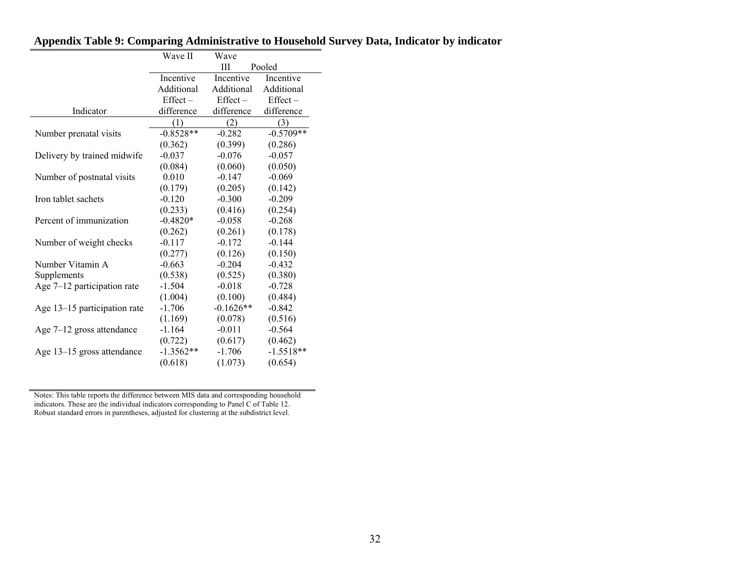|                              | Wave II     | Wave        |             |
|------------------------------|-------------|-------------|-------------|
|                              |             | Ш           | Pooled      |
|                              | Incentive   | Incentive   | Incentive   |
|                              | Additional  | Additional  | Additional  |
|                              | $Effect -$  | $Effect -$  | $Effect -$  |
| Indicator                    | difference  | difference  | difference  |
|                              | (1)         | (2)         | (3)         |
| Number prenatal visits       | $-0.8528**$ | $-0.282$    | $-0.5709**$ |
|                              | (0.362)     | (0.399)     | (0.286)     |
| Delivery by trained midwife  | $-0.037$    | $-0.076$    | $-0.057$    |
|                              | (0.084)     | (0.060)     | (0.050)     |
| Number of postnatal visits   | 0.010       | $-0.147$    | $-0.069$    |
|                              | (0.179)     | (0.205)     | (0.142)     |
| Iron tablet sachets          | $-0.120$    | $-0.300$    | $-0.209$    |
|                              | (0.233)     | (0.416)     | (0.254)     |
| Percent of immunization      | $-0.4820*$  | $-0.058$    | $-0.268$    |
|                              | (0.262)     | (0.261)     | (0.178)     |
| Number of weight checks      | $-0.117$    | $-0.172$    | $-0.144$    |
|                              | (0.277)     | (0.126)     | (0.150)     |
| Number Vitamin A             | $-0.663$    | $-0.204$    | $-0.432$    |
| Supplements                  | (0.538)     | (0.525)     | (0.380)     |
| Age 7-12 participation rate  | $-1.504$    | $-0.018$    | $-0.728$    |
|                              | (1.004)     | (0.100)     | (0.484)     |
| Age 13-15 participation rate | $-1.706$    | $-0.1626**$ | $-0.842$    |
|                              | (1.169)     | (0.078)     | (0.516)     |
| Age $7-12$ gross attendance  | $-1.164$    | $-0.011$    | $-0.564$    |
|                              | (0.722)     | (0.617)     | (0.462)     |
| Age 13-15 gross attendance   | $-1.3562**$ | $-1.706$    | $-1.5518**$ |
|                              | (0.618)     | (1.073)     | (0.654)     |

## **Appendix Table 9: Comparing Administrative to Household Survey Data, Indicator by indicator**

Notes: This table reports the difference between MIS data and corresponding household indicators. These are the individual indicators corresponding to Panel C of Table 12. Robust standard errors in parentheses, adjusted for clustering at the subdistrict level.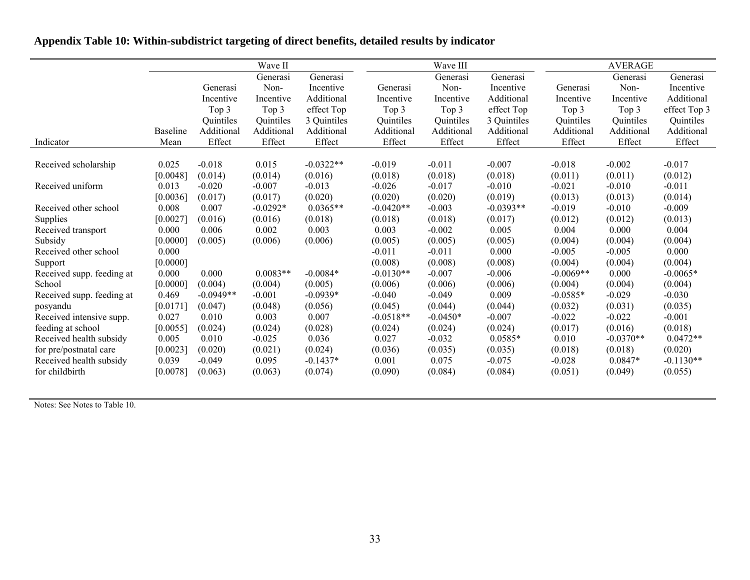|  | Appendix Table 10: Within-subdistrict targeting of direct benefits, detailed results by indicator |  |
|--|---------------------------------------------------------------------------------------------------|--|
|--|---------------------------------------------------------------------------------------------------|--|

|                           |                 |             | Wave II    |             |             | Wave III   |             |             | <b>AVERAGE</b> |              |
|---------------------------|-----------------|-------------|------------|-------------|-------------|------------|-------------|-------------|----------------|--------------|
|                           |                 |             | Generasi   | Generasi    |             | Generasi   | Generasi    |             | Generasi       | Generasi     |
|                           |                 | Generasi    | Non-       | Incentive   | Generasi    | Non-       | Incentive   | Generasi    | Non-           | Incentive    |
|                           |                 | Incentive   | Incentive  | Additional  | Incentive   | Incentive  | Additional  | Incentive   | Incentive      | Additional   |
|                           |                 | Top 3       | Top 3      | effect Top  | Top 3       | Top 3      | effect Top  | Top 3       | Top 3          | effect Top 3 |
|                           |                 | Quintiles   | Quintiles  | 3 Quintiles | Quintiles   | Quintiles  | 3 Quintiles | Quintiles   | Quintiles      | Quintiles    |
|                           | <b>Baseline</b> | Additional  | Additional | Additional  | Additional  | Additional | Additional  | Additional  | Additional     | Additional   |
| Indicator                 | Mean            | Effect      | Effect     | Effect      | Effect      | Effect     | Effect      | Effect      | Effect         | Effect       |
|                           |                 |             |            |             |             |            |             |             |                |              |
| Received scholarship      | 0.025           | $-0.018$    | 0.015      | $-0.0322**$ | $-0.019$    | $-0.011$   | $-0.007$    | $-0.018$    | $-0.002$       | $-0.017$     |
|                           | [0.0048]        | (0.014)     | (0.014)    | (0.016)     | (0.018)     | (0.018)    | (0.018)     | (0.011)     | (0.011)        | (0.012)      |
| Received uniform          | 0.013           | $-0.020$    | $-0.007$   | $-0.013$    | $-0.026$    | $-0.017$   | $-0.010$    | $-0.021$    | $-0.010$       | $-0.011$     |
|                           | [0.0036]        | (0.017)     | (0.017)    | (0.020)     | (0.020)     | (0.020)    | (0.019)     | (0.013)     | (0.013)        | (0.014)      |
| Received other school     | 0.008           | 0.007       | $-0.0292*$ | $0.0365**$  | $-0.0420**$ | $-0.003$   | $-0.0393**$ | $-0.019$    | $-0.010$       | $-0.009$     |
| Supplies                  | [0.0027]        | (0.016)     | (0.016)    | (0.018)     | (0.018)     | (0.018)    | (0.017)     | (0.012)     | (0.012)        | (0.013)      |
| Received transport        | 0.000           | 0.006       | 0.002      | 0.003       | 0.003       | $-0.002$   | 0.005       | 0.004       | 0.000          | 0.004        |
| Subsidy                   | [0.0000]        | (0.005)     | (0.006)    | (0.006)     | (0.005)     | (0.005)    | (0.005)     | (0.004)     | (0.004)        | (0.004)      |
| Received other school     | 0.000           |             |            |             | $-0.011$    | $-0.011$   | 0.000       | $-0.005$    | $-0.005$       | 0.000        |
| Support                   | [0.0000]        |             |            |             | (0.008)     | (0.008)    | (0.008)     | (0.004)     | (0.004)        | (0.004)      |
| Received supp. feeding at | 0.000           | 0.000       | $0.0083**$ | $-0.0084*$  | $-0.0130**$ | $-0.007$   | $-0.006$    | $-0.0069**$ | 0.000          | $-0.0065*$   |
| School                    | [0.0000]        | (0.004)     | (0.004)    | (0.005)     | (0.006)     | (0.006)    | (0.006)     | (0.004)     | (0.004)        | (0.004)      |
| Received supp. feeding at | 0.469           | $-0.0949**$ | $-0.001$   | $-0.0939*$  | $-0.040$    | $-0.049$   | 0.009       | $-0.0585*$  | $-0.029$       | $-0.030$     |
| posyandu                  | [0.0171]        | (0.047)     | (0.048)    | (0.056)     | (0.045)     | (0.044)    | (0.044)     | (0.032)     | (0.031)        | (0.035)      |
| Received intensive supp.  | 0.027           | 0.010       | 0.003      | 0.007       | $-0.0518**$ | $-0.0450*$ | $-0.007$    | $-0.022$    | $-0.022$       | $-0.001$     |
| feeding at school         | [0.0055]        | (0.024)     | (0.024)    | (0.028)     | (0.024)     | (0.024)    | (0.024)     | (0.017)     | (0.016)        | (0.018)      |
| Received health subsidy   | 0.005           | 0.010       | $-0.025$   | 0.036       | 0.027       | $-0.032$   | $0.0585*$   | 0.010       | $-0.0370**$    | $0.0472**$   |
| for pre/postnatal care    | [0.0023]        | (0.020)     | (0.021)    | (0.024)     | (0.036)     | (0.035)    | (0.035)     | (0.018)     | (0.018)        | (0.020)      |
| Received health subsidy   | 0.039           | $-0.049$    | 0.095      | $-0.1437*$  | 0.001       | 0.075      | $-0.075$    | $-0.028$    | $0.0847*$      | $-0.1130**$  |
| for childbirth            | [0.0078]        | (0.063)     | (0.063)    | (0.074)     | (0.090)     | (0.084)    | (0.084)     | (0.051)     | (0.049)        | (0.055)      |

Notes: See Notes to Table 10.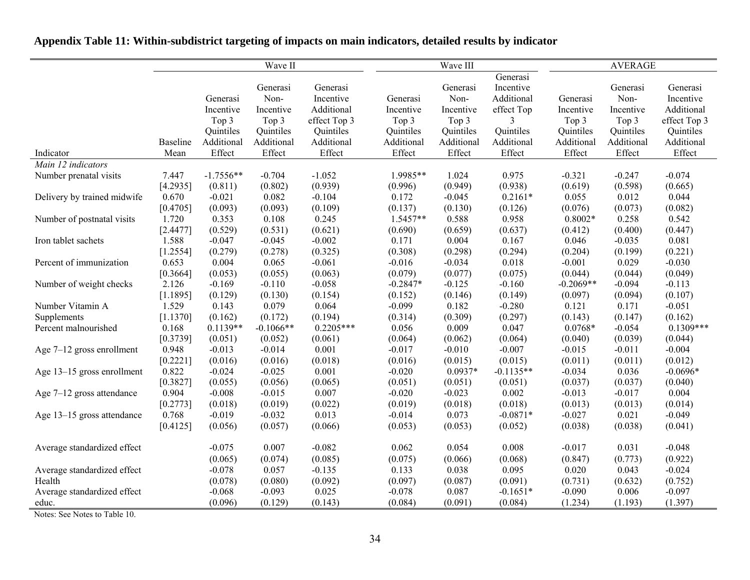|                             | Wave II  |             |             |              | Wave III   |            |             | <b>AVERAGE</b> |            |              |
|-----------------------------|----------|-------------|-------------|--------------|------------|------------|-------------|----------------|------------|--------------|
|                             |          |             |             |              |            |            | Generasi    |                |            |              |
|                             |          |             | Generasi    | Generasi     |            | Generasi   | Incentive   |                | Generasi   | Generasi     |
|                             |          | Generasi    | Non-        | Incentive    | Generasi   | Non-       | Additional  | Generasi       | Non-       | Incentive    |
|                             |          | Incentive   | Incentive   | Additional   | Incentive  | Incentive  | effect Top  | Incentive      | Incentive  | Additional   |
|                             |          | Top 3       | Top 3       | effect Top 3 | Top 3      | Top 3      | 3           | Top 3          | Top 3      | effect Top 3 |
|                             |          | Quintiles   | Quintiles   | Quintiles    | Quintiles  | Quintiles  | Quintiles   | Quintiles      | Quintiles  | Quintiles    |
|                             | Baseline | Additional  | Additional  | Additional   | Additional | Additional | Additional  | Additional     | Additional | Additional   |
| Indicator                   | Mean     | Effect      | Effect      | Effect       | Effect     | Effect     | Effect      | Effect         | Effect     | Effect       |
| Main 12 indicators          |          |             |             |              |            |            |             |                |            |              |
| Number prenatal visits      | 7.447    | $-1.7556**$ | $-0.704$    | $-1.052$     | 1.9985**   | 1.024      | 0.975       | $-0.321$       | $-0.247$   | $-0.074$     |
|                             | [4.2935] | (0.811)     | (0.802)     | (0.939)      | (0.996)    | (0.949)    | (0.938)     | (0.619)        | (0.598)    | (0.665)      |
| Delivery by trained midwife | 0.670    | $-0.021$    | 0.082       | $-0.104$     | 0.172      | $-0.045$   | $0.2161*$   | 0.055          | 0.012      | 0.044        |
|                             | [0.4705] | (0.093)     | (0.093)     | (0.109)      | (0.137)    | (0.130)    | (0.126)     | (0.076)        | (0.073)    | (0.082)      |
| Number of postnatal visits  | 1.720    | 0.353       | 0.108       | 0.245        | $1.5457**$ | 0.588      | 0.958       | $0.8002*$      | 0.258      | 0.542        |
|                             | [2.4477] | (0.529)     | (0.531)     | (0.621)      | (0.690)    | (0.659)    | (0.637)     | (0.412)        | (0.400)    | (0.447)      |
| Iron tablet sachets         | 1.588    | $-0.047$    | $-0.045$    | $-0.002$     | 0.171      | 0.004      | 0.167       | 0.046          | $-0.035$   | 0.081        |
|                             | [1.2554] | (0.279)     | (0.278)     | (0.325)      | (0.308)    | (0.298)    | (0.294)     | (0.204)        | (0.199)    | (0.221)      |
| Percent of immunization     | 0.653    | 0.004       | 0.065       | $-0.061$     | $-0.016$   | $-0.034$   | 0.018       | $-0.001$       | 0.029      | $-0.030$     |
|                             | [0.3664] | (0.053)     | (0.055)     | (0.063)      | (0.079)    | (0.077)    | (0.075)     | (0.044)        | (0.044)    | (0.049)      |
| Number of weight checks     | 2.126    | $-0.169$    | $-0.110$    | $-0.058$     | $-0.2847*$ | $-0.125$   | $-0.160$    | $-0.2069**$    | $-0.094$   | $-0.113$     |
|                             | [1.1895] | (0.129)     | (0.130)     | (0.154)      | (0.152)    | (0.146)    | (0.149)     | (0.097)        | (0.094)    | (0.107)      |
| Number Vitamin A            | 1.529    | 0.143       | 0.079       | 0.064        | $-0.099$   | 0.182      | $-0.280$    | 0.121          | 0.171      | $-0.051$     |
| Supplements                 | [1.1370] | (0.162)     | (0.172)     | (0.194)      | (0.314)    | (0.309)    | (0.297)     | (0.143)        | (0.147)    | (0.162)      |
| Percent malnourished        | 0.168    | $0.1139**$  | $-0.1066**$ | $0.2205***$  | 0.056      | 0.009      | 0.047       | $0.0768*$      | $-0.054$   | $0.1309***$  |
|                             | [0.3739] | (0.051)     | (0.052)     | (0.061)      | (0.064)    | (0.062)    | (0.064)     | (0.040)        | (0.039)    | (0.044)      |
| Age $7-12$ gross enrollment | 0.948    | $-0.013$    | $-0.014$    | 0.001        | $-0.017$   | $-0.010$   | $-0.007$    | $-0.015$       | $-0.011$   | $-0.004$     |
|                             | [0.2221] | (0.016)     | (0.016)     | (0.018)      | (0.016)    | (0.015)    | (0.015)     | (0.011)        | (0.011)    | (0.012)      |
| Age 13-15 gross enrollment  | 0.822    | $-0.024$    | $-0.025$    | 0.001        | $-0.020$   | $0.0937*$  | $-0.1135**$ | $-0.034$       | 0.036      | $-0.0696*$   |
|                             | [0.3827] | (0.055)     | (0.056)     | (0.065)      | (0.051)    | (0.051)    | (0.051)     | (0.037)        | (0.037)    | (0.040)      |
| Age $7-12$ gross attendance | 0.904    | $-0.008$    | $-0.015$    | 0.007        | $-0.020$   | $-0.023$   | 0.002       | $-0.013$       | $-0.017$   | 0.004        |
|                             | [0.2773] | (0.018)     | (0.019)     | (0.022)      | (0.019)    | (0.018)    | (0.018)     | (0.013)        | (0.013)    | (0.014)      |
| Age 13–15 gross attendance  | 0.768    | $-0.019$    | $-0.032$    | 0.013        | $-0.014$   | 0.073      | $-0.0871*$  | $-0.027$       | 0.021      | $-0.049$     |
|                             | [0.4125] | (0.056)     | (0.057)     | (0.066)      | (0.053)    | (0.053)    | (0.052)     | (0.038)        | (0.038)    | (0.041)      |
| Average standardized effect |          | $-0.075$    | 0.007       | $-0.082$     | 0.062      | 0.054      | 0.008       | $-0.017$       | 0.031      | $-0.048$     |
|                             |          | (0.065)     | (0.074)     | (0.085)      | (0.075)    | (0.066)    | (0.068)     | (0.847)        | (0.773)    | (0.922)      |
| Average standardized effect |          | $-0.078$    | 0.057       | $-0.135$     | 0.133      | 0.038      | 0.095       | 0.020          | 0.043      | $-0.024$     |
| Health                      |          | (0.078)     | (0.080)     | (0.092)      | (0.097)    | (0.087)    | (0.091)     | (0.731)        | (0.632)    | (0.752)      |
| Average standardized effect |          | $-0.068$    | $-0.093$    | 0.025        | $-0.078$   | 0.087      | $-0.1651*$  | $-0.090$       | 0.006      | $-0.097$     |
| educ.                       |          | (0.096)     | (0.129)     | (0.143)      | (0.084)    | (0.091)    | (0.084)     | (1.234)        | (1.193)    | (1.397)      |

# **Appendix Table 11: Within-subdistrict targeting of impacts on main indicators, detailed results by indicator**

Notes: See Notes to Table 10.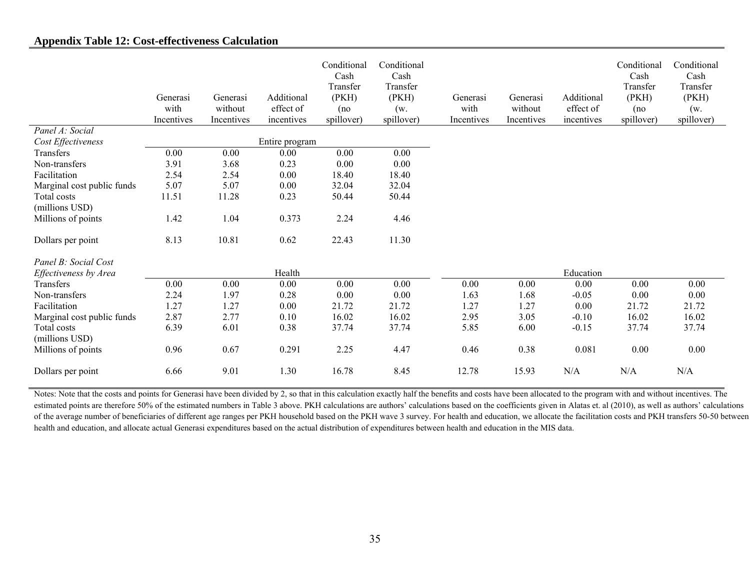## **Appendix Table 12: Cost-effectiveness Calculation**

|                            | Generasi<br>with<br>Incentives | Generasi<br>without<br>Incentives | Additional<br>effect of<br>incentives | Conditional<br>Cash<br>Transfer<br>(PKH)<br>(no<br>spillover) | Conditional<br>Cash<br>Transfer<br>(PKH)<br>(w.<br>spillover) | Generasi<br>with<br>Incentives | Generasi<br>without<br>Incentives | Additional<br>effect of<br>incentives | Conditional<br>Cash<br>Transfer<br>(PKH)<br>(no<br>spillover) | Conditional<br>Cash<br>Transfer<br>(PKH)<br>(w.<br>spillover) |
|----------------------------|--------------------------------|-----------------------------------|---------------------------------------|---------------------------------------------------------------|---------------------------------------------------------------|--------------------------------|-----------------------------------|---------------------------------------|---------------------------------------------------------------|---------------------------------------------------------------|
| Panel A: Social            |                                |                                   |                                       |                                                               |                                                               |                                |                                   |                                       |                                                               |                                                               |
| Cost Effectiveness         |                                |                                   | Entire program                        |                                                               |                                                               |                                |                                   |                                       |                                                               |                                                               |
| Transfers                  | 0.00                           | $0.00\,$                          | 0.00                                  | 0.00                                                          | 0.00                                                          |                                |                                   |                                       |                                                               |                                                               |
| Non-transfers              | 3.91                           | 3.68                              | 0.23                                  | $0.00\,$                                                      | 0.00                                                          |                                |                                   |                                       |                                                               |                                                               |
| Facilitation               | 2.54                           | 2.54                              | 0.00                                  | 18.40                                                         | 18.40                                                         |                                |                                   |                                       |                                                               |                                                               |
| Marginal cost public funds | 5.07                           | 5.07                              | $0.00\,$                              | 32.04                                                         | 32.04                                                         |                                |                                   |                                       |                                                               |                                                               |
| Total costs                | 11.51                          | 11.28                             | 0.23                                  | 50.44                                                         | 50.44                                                         |                                |                                   |                                       |                                                               |                                                               |
| (millions USD)             |                                |                                   |                                       |                                                               |                                                               |                                |                                   |                                       |                                                               |                                                               |
| Millions of points         | 1.42                           | 1.04                              | 0.373                                 | 2.24                                                          | 4.46                                                          |                                |                                   |                                       |                                                               |                                                               |
| Dollars per point          | 8.13                           | 10.81                             | 0.62                                  | 22.43                                                         | 11.30                                                         |                                |                                   |                                       |                                                               |                                                               |
| Panel B: Social Cost       |                                |                                   |                                       |                                                               |                                                               |                                |                                   |                                       |                                                               |                                                               |
| Effectiveness by Area      |                                |                                   | Health                                |                                                               |                                                               |                                |                                   | Education                             |                                                               |                                                               |
| Transfers                  | 0.00                           | $0.00\,$                          | 0.00                                  | 0.00                                                          | $0.00\,$                                                      | 0.00                           | $0.00\,$                          | 0.00                                  | 0.00                                                          | 0.00                                                          |
| Non-transfers              | 2.24                           | 1.97                              | 0.28                                  | $0.00\,$                                                      | $0.00\,$                                                      | 1.63                           | 1.68                              | $-0.05$                               | 0.00                                                          | 0.00                                                          |
| Facilitation               | 1.27                           | 1.27                              | 0.00                                  | 21.72                                                         | 21.72                                                         | 1.27                           | 1.27                              | 0.00                                  | 21.72                                                         | 21.72                                                         |
| Marginal cost public funds | 2.87                           | 2.77                              | 0.10                                  | 16.02                                                         | 16.02                                                         | 2.95                           | 3.05                              | $-0.10$                               | 16.02                                                         | 16.02                                                         |
| Total costs                | 6.39                           | 6.01                              | 0.38                                  | 37.74                                                         | 37.74                                                         | 5.85                           | 6.00                              | $-0.15$                               | 37.74                                                         | 37.74                                                         |
| (millions USD)             |                                |                                   |                                       |                                                               |                                                               |                                |                                   |                                       |                                                               |                                                               |
| Millions of points         | 0.96                           | 0.67                              | 0.291                                 | 2.25                                                          | 4.47                                                          | 0.46                           | 0.38                              | 0.081                                 | 0.00                                                          | 0.00                                                          |
| Dollars per point          | 6.66                           | 9.01                              | 1.30                                  | 16.78                                                         | 8.45                                                          | 12.78                          | 15.93                             | N/A                                   | N/A                                                           | N/A                                                           |

Notes: Note that the costs and points for Generasi have been divided by 2, so that in this calculation exactly half the benefits and costs have been allocated to the program with and without incentives. The estimated points are therefore 50% of the estimated numbers in Table 3 above. PKH calculations are authors' calculations based on the coefficients given in Alatas et. al (2010), as well as authors' calculations of the average number of beneficiaries of different age ranges per PKH household based on the PKH wave 3 survey. For health and education, we allocate the facilitation costs and PKH transfers 50-50 between health and education, and allocate actual Generasi expenditures based on the actual distribution of expenditures between health and education in the MIS data.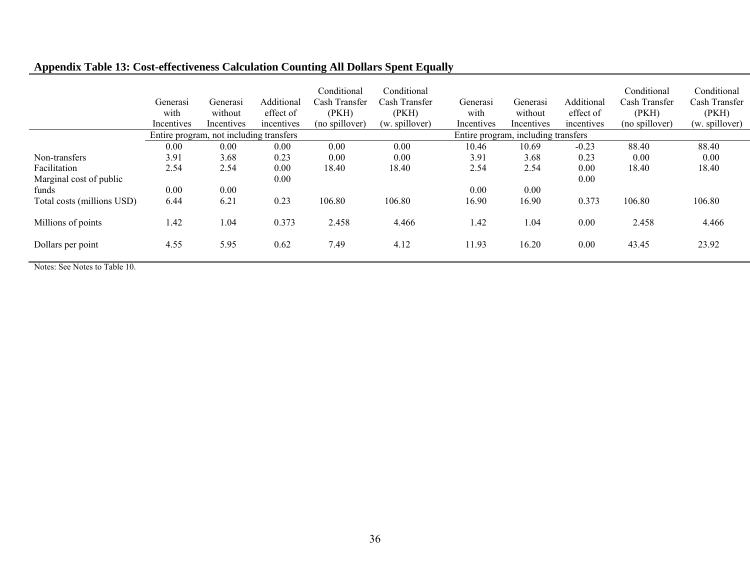# **Appendix Table 13: Cost-effectiveness Calculation Counting All Dollars Spent Equally**

|                            | Generasi<br>with<br>Incentives | Generasi<br>without<br>Incentives       | Additional<br>effect of<br>incentives | Conditional<br>Cash Transfer<br>(PKH)<br>(no spillover) | Conditional<br>Cash Transfer<br>(PKH)<br>(w. spillover) | Generasi<br>with<br>Incentives | Generasi<br>without<br>Incentives     | Additional<br>effect of<br>incentives | Conditional<br>Cash Transfer<br>(PKH)<br>(no spillover) | Conditional<br>Cash Transfer<br>(PKH)<br>(w. spillover) |  |
|----------------------------|--------------------------------|-----------------------------------------|---------------------------------------|---------------------------------------------------------|---------------------------------------------------------|--------------------------------|---------------------------------------|---------------------------------------|---------------------------------------------------------|---------------------------------------------------------|--|
|                            |                                | Entire program, not including transfers |                                       |                                                         |                                                         |                                | including transfers<br>Entire program |                                       |                                                         |                                                         |  |
|                            | 0.00                           | 0.00                                    | 0.00                                  | 0.00                                                    | 0.00                                                    | 10.46                          | 10.69                                 | $-0.23$                               | 88.40                                                   | 88.40                                                   |  |
| Non-transfers              | 3.91                           | 3.68                                    | 0.23                                  | 0.00                                                    | 0.00                                                    | 3.91                           | 3.68                                  | 0.23                                  | 0.00                                                    | 0.00                                                    |  |
| Facilitation               | 2.54                           | 2.54                                    | 0.00                                  | 18.40                                                   | 18.40                                                   | 2.54                           | 2.54                                  | 0.00                                  | 18.40                                                   | 18.40                                                   |  |
| Marginal cost of public    |                                |                                         | 0.00                                  |                                                         |                                                         |                                |                                       | 0.00                                  |                                                         |                                                         |  |
| funds                      | 0.00                           | 0.00                                    |                                       |                                                         |                                                         | 0.00                           | 0.00                                  |                                       |                                                         |                                                         |  |
| Total costs (millions USD) | 6.44                           | 6.21                                    | 0.23                                  | 106.80                                                  | 106.80                                                  | 16.90                          | 16.90                                 | 0.373                                 | 106.80                                                  | 106.80                                                  |  |
| Millions of points         | 1.42                           | 1.04                                    | 0.373                                 | 2.458                                                   | 4.466                                                   | 1.42                           | 1.04                                  | 0.00                                  | 2.458                                                   | 4.466                                                   |  |
| Dollars per point          | 4.55                           | 5.95                                    | 0.62                                  | 7.49                                                    | 4.12                                                    | 11.93                          | 16.20                                 | 0.00                                  | 43.45                                                   | 23.92                                                   |  |

Notes: See Notes to Table 10.